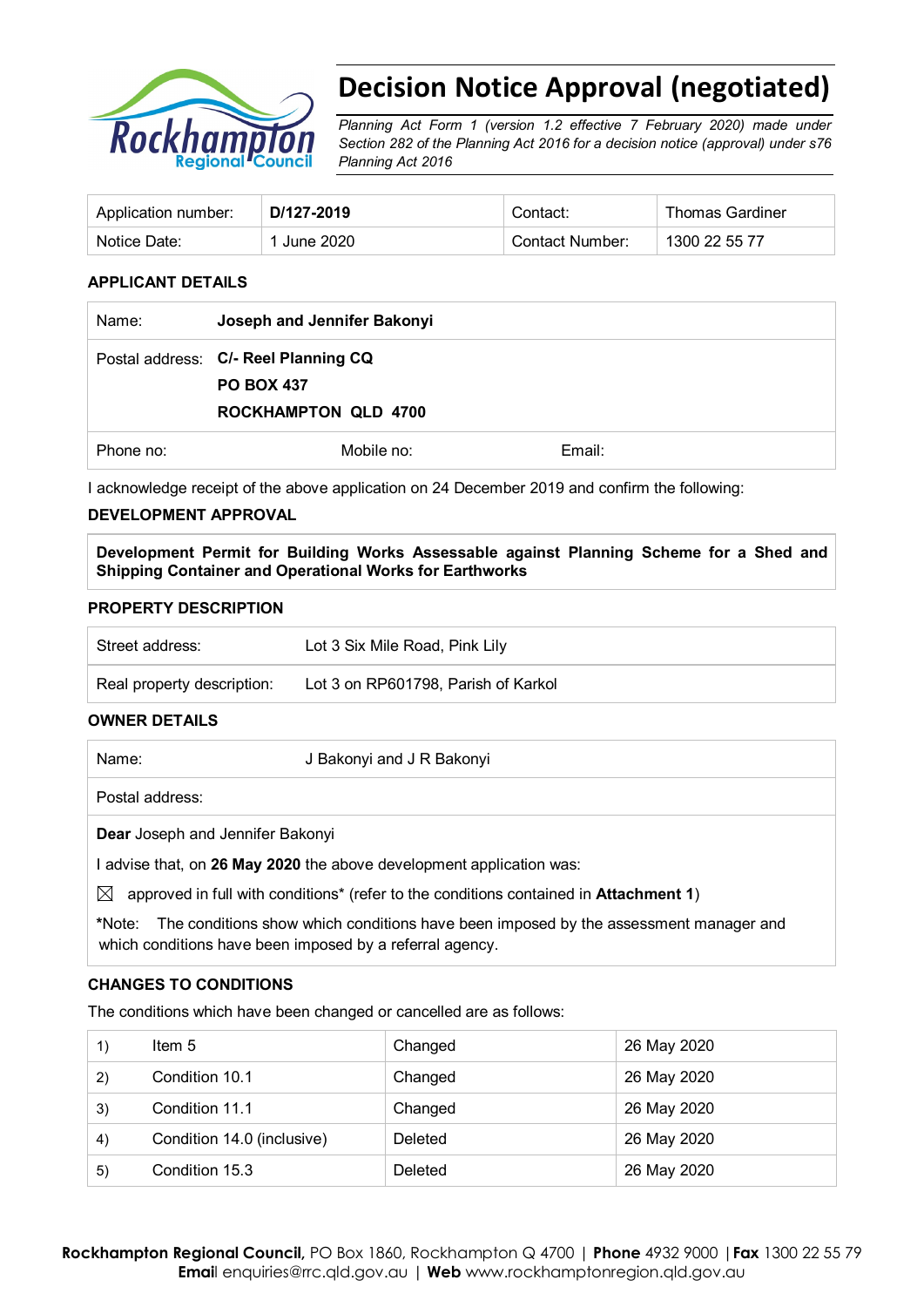

# **Decision Notice Approval (negotiated)**

*Planning Act Form 1 (version 1.2 effective 7 February 2020) made under Section 282 of the Planning Act 2016 for a decision notice (approval) under s76 Planning Act 2016*

| Application number: | D/127-2019 | Contact:        | <b>Thomas Gardiner</b> |
|---------------------|------------|-----------------|------------------------|
| Notice Date:        | June 2020  | Contact Number: | 1300 22 55 77          |

#### **APPLICANT DETAILS**

| Name:     | Joseph and Jennifer Bakonyi                                                              |        |
|-----------|------------------------------------------------------------------------------------------|--------|
|           | Postal address: C/- Reel Planning CQ<br><b>PO BOX 437</b><br><b>ROCKHAMPTON QLD 4700</b> |        |
| Phone no: | Mobile no:                                                                               | Email: |

I acknowledge receipt of the above application on 24 December 2019 and confirm the following:

# **DEVELOPMENT APPROVAL**

**Development Permit for Building Works Assessable against Planning Scheme for a Shed and Shipping Container and Operational Works for Earthworks**

#### **PROPERTY DESCRIPTION**

| Street address:            | Lot 3 Six Mile Road, Pink Lily      |
|----------------------------|-------------------------------------|
| Real property description: | Lot 3 on RP601798, Parish of Karkol |

# **OWNER DETAILS**

Name: J Bakonyi and J R Bakonyi

Postal address:

**Dear** Joseph and Jennifer Bakonyi

I advise that, on **26 May 2020** the above development application was:

 $\boxtimes$  approved in full with conditions<sup>\*</sup> (refer to the conditions contained in **Attachment 1**)

**\***Note:The conditions show which conditions have been imposed by the assessment manager and which conditions have been imposed by a referral agency.

#### **CHANGES TO CONDITIONS**

The conditions which have been changed or cancelled are as follows:

|    | Item $5$                   | Changed | 26 May 2020 |
|----|----------------------------|---------|-------------|
| 2) | Condition 10.1             | Changed | 26 May 2020 |
| 3) | Condition 11.1             | Changed | 26 May 2020 |
| 4) | Condition 14.0 (inclusive) | Deleted | 26 May 2020 |
| 5) | Condition 15.3             | Deleted | 26 May 2020 |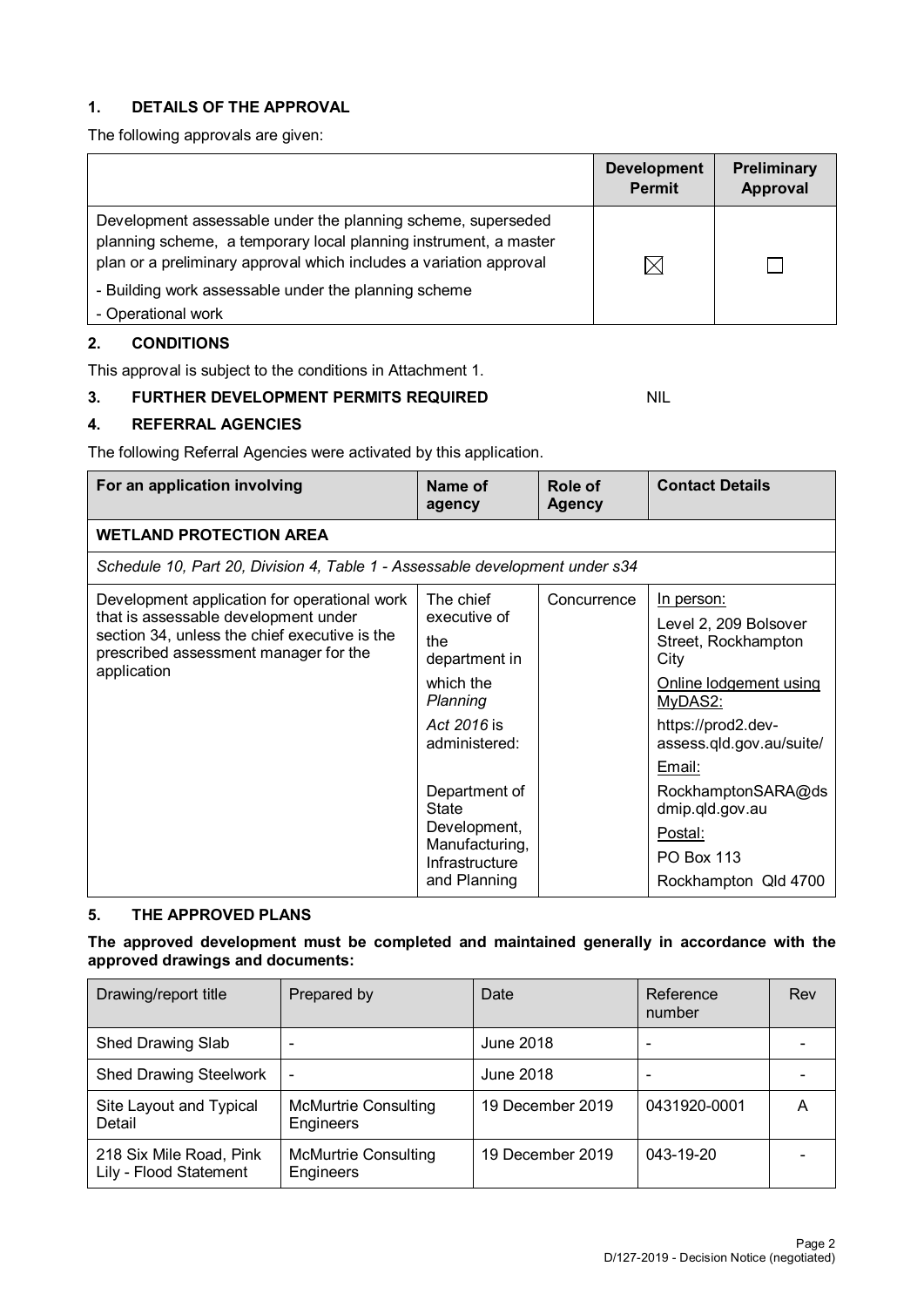# **1. DETAILS OF THE APPROVAL**

The following approvals are given:

|                                                                                                                                                                                                                                                                                      | <b>Development</b><br><b>Permit</b> | Preliminary<br><b>Approval</b> |
|--------------------------------------------------------------------------------------------------------------------------------------------------------------------------------------------------------------------------------------------------------------------------------------|-------------------------------------|--------------------------------|
| Development assessable under the planning scheme, superseded<br>planning scheme, a temporary local planning instrument, a master<br>plan or a preliminary approval which includes a variation approval<br>- Building work assessable under the planning scheme<br>- Operational work | M                                   |                                |

# **2. CONDITIONS**

This approval is subject to the conditions in Attachment 1.

#### **3. FURTHER DEVELOPMENT PERMITS REQUIRED NIL**

# **4. REFERRAL AGENCIES**

The following Referral Agencies were activated by this application.

| For an application involving                                                                                                                                                                  | Name of<br>agency                                                                                                                                                                                               | Role of<br><b>Agency</b> | <b>Contact Details</b>                                                                                                                                                                                                                                               |
|-----------------------------------------------------------------------------------------------------------------------------------------------------------------------------------------------|-----------------------------------------------------------------------------------------------------------------------------------------------------------------------------------------------------------------|--------------------------|----------------------------------------------------------------------------------------------------------------------------------------------------------------------------------------------------------------------------------------------------------------------|
| <b>WETLAND PROTECTION AREA</b>                                                                                                                                                                |                                                                                                                                                                                                                 |                          |                                                                                                                                                                                                                                                                      |
| Schedule 10, Part 20, Division 4, Table 1 - Assessable development under s34                                                                                                                  |                                                                                                                                                                                                                 |                          |                                                                                                                                                                                                                                                                      |
| Development application for operational work<br>that is assessable development under<br>section 34, unless the chief executive is the<br>prescribed assessment manager for the<br>application | The chief<br>executive of<br>the<br>department in<br>which the<br>Planning<br>Act 2016 is<br>administered:<br>Department of<br><b>State</b><br>Development,<br>Manufacturing,<br>Infrastructure<br>and Planning | Concurrence              | In person:<br>Level 2, 209 Bolsover<br>Street, Rockhampton<br>City<br>Online lodgement using<br>MyDAS2:<br>https://prod2.dev-<br>assess.qld.gov.au/suite/<br>Email:<br>RockhamptonSARA@ds<br>dmip.qld.gov.au<br>Postal:<br><b>PO Box 113</b><br>Rockhampton Qld 4700 |

# **5. THE APPROVED PLANS**

**The approved development must be completed and maintained generally in accordance with the approved drawings and documents:**

| Drawing/report title                              | Prepared by                              | Date             | Reference<br>number | Rev |
|---------------------------------------------------|------------------------------------------|------------------|---------------------|-----|
| Shed Drawing Slab                                 | ۰                                        | June 2018        |                     |     |
| <b>Shed Drawing Steelwork</b>                     | $\overline{\phantom{0}}$                 | June 2018        |                     |     |
| Site Layout and Typical<br>Detail                 | <b>McMurtrie Consulting</b><br>Engineers | 19 December 2019 | 0431920-0001        | А   |
| 218 Six Mile Road, Pink<br>Lily - Flood Statement | <b>McMurtrie Consulting</b><br>Engineers | 19 December 2019 | 043-19-20           |     |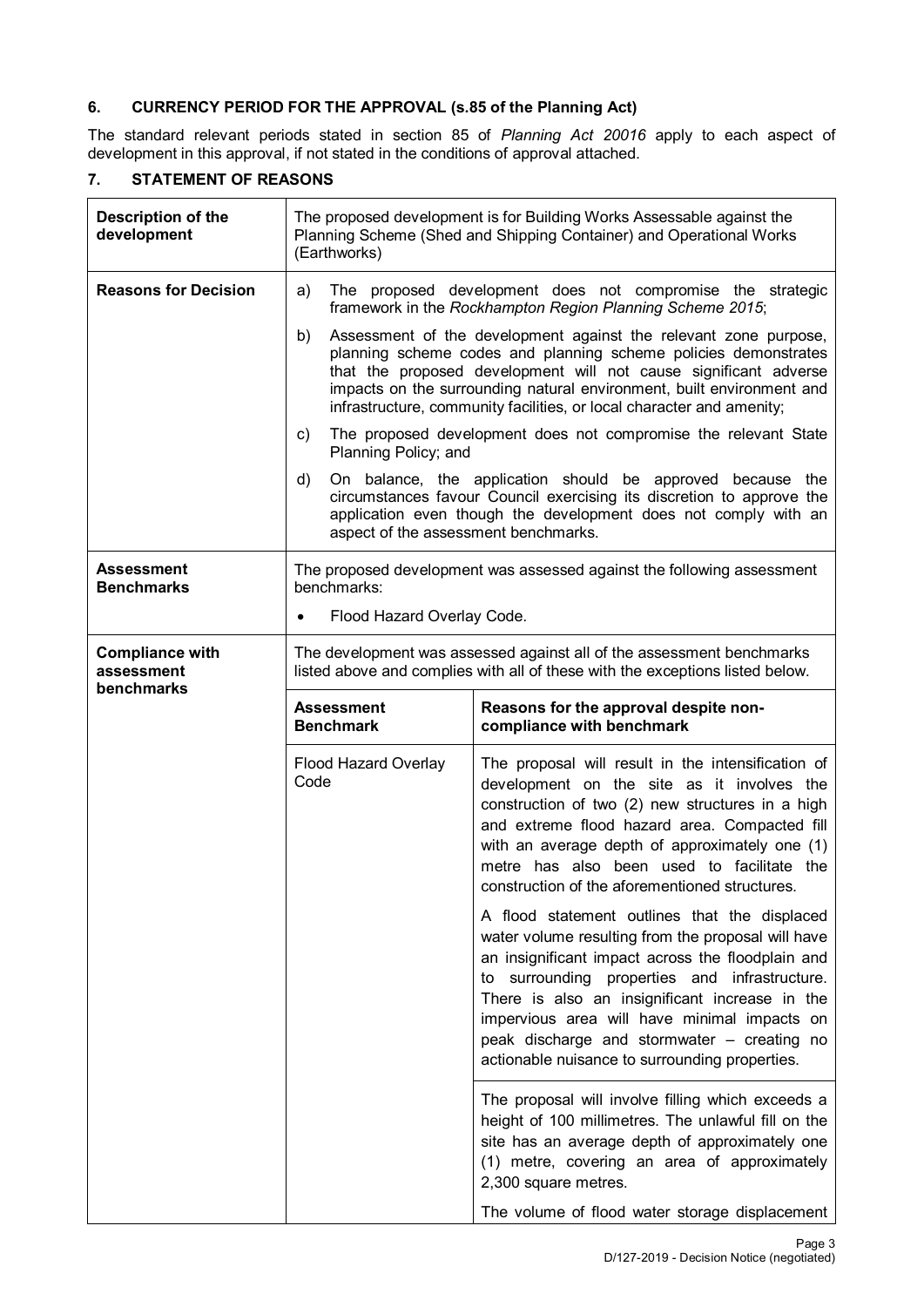# **6. CURRENCY PERIOD FOR THE APPROVAL (s.85 of the Planning Act)**

The standard relevant periods stated in section 85 of *Planning Act 20016* apply to each aspect of development in this approval, if not stated in the conditions of approval attached.

# **7. STATEMENT OF REASONS**

| Description of the<br>development                  | The proposed development is for Building Works Assessable against the<br>Planning Scheme (Shed and Shipping Container) and Operational Works<br>(Earthworks)                                                                                                                                                                                                    |                                                                                                                                                                                                                                                                                                                                                                                                              |  |  |
|----------------------------------------------------|-----------------------------------------------------------------------------------------------------------------------------------------------------------------------------------------------------------------------------------------------------------------------------------------------------------------------------------------------------------------|--------------------------------------------------------------------------------------------------------------------------------------------------------------------------------------------------------------------------------------------------------------------------------------------------------------------------------------------------------------------------------------------------------------|--|--|
| <b>Reasons for Decision</b>                        | a)                                                                                                                                                                                                                                                                                                                                                              | The proposed development does not compromise the strategic<br>framework in the Rockhampton Region Planning Scheme 2015;                                                                                                                                                                                                                                                                                      |  |  |
|                                                    | Assessment of the development against the relevant zone purpose,<br>b)<br>planning scheme codes and planning scheme policies demonstrates<br>that the proposed development will not cause significant adverse<br>impacts on the surrounding natural environment, built environment and<br>infrastructure, community facilities, or local character and amenity; |                                                                                                                                                                                                                                                                                                                                                                                                              |  |  |
|                                                    | c)<br>Planning Policy; and                                                                                                                                                                                                                                                                                                                                      | The proposed development does not compromise the relevant State                                                                                                                                                                                                                                                                                                                                              |  |  |
|                                                    | d)<br>aspect of the assessment benchmarks.                                                                                                                                                                                                                                                                                                                      | On balance, the application should be approved because the<br>circumstances favour Council exercising its discretion to approve the<br>application even though the development does not comply with an                                                                                                                                                                                                       |  |  |
| <b>Assessment</b><br><b>Benchmarks</b>             | benchmarks:                                                                                                                                                                                                                                                                                                                                                     | The proposed development was assessed against the following assessment                                                                                                                                                                                                                                                                                                                                       |  |  |
|                                                    | Flood Hazard Overlay Code.<br>٠                                                                                                                                                                                                                                                                                                                                 |                                                                                                                                                                                                                                                                                                                                                                                                              |  |  |
| <b>Compliance with</b><br>assessment<br>benchmarks |                                                                                                                                                                                                                                                                                                                                                                 | The development was assessed against all of the assessment benchmarks<br>listed above and complies with all of these with the exceptions listed below.                                                                                                                                                                                                                                                       |  |  |
|                                                    | <b>Assessment</b><br><b>Benchmark</b>                                                                                                                                                                                                                                                                                                                           | Reasons for the approval despite non-<br>compliance with benchmark                                                                                                                                                                                                                                                                                                                                           |  |  |
|                                                    | Flood Hazard Overlay<br>Code                                                                                                                                                                                                                                                                                                                                    | The proposal will result in the intensification of<br>development on the site as it involves the<br>construction of two (2) new structures in a high<br>and extreme flood hazard area. Compacted fill<br>with an average depth of approximately one (1)<br>metre has also been used to facilitate the<br>construction of the aforementioned structures.                                                      |  |  |
|                                                    |                                                                                                                                                                                                                                                                                                                                                                 | A flood statement outlines that the displaced<br>water volume resulting from the proposal will have<br>an insignificant impact across the floodplain and<br>to surrounding properties and infrastructure.<br>There is also an insignificant increase in the<br>impervious area will have minimal impacts on<br>peak discharge and stormwater - creating no<br>actionable nuisance to surrounding properties. |  |  |
|                                                    |                                                                                                                                                                                                                                                                                                                                                                 | The proposal will involve filling which exceeds a<br>height of 100 millimetres. The unlawful fill on the<br>site has an average depth of approximately one<br>(1) metre, covering an area of approximately<br>2,300 square metres.                                                                                                                                                                           |  |  |
|                                                    |                                                                                                                                                                                                                                                                                                                                                                 | The volume of flood water storage displacement                                                                                                                                                                                                                                                                                                                                                               |  |  |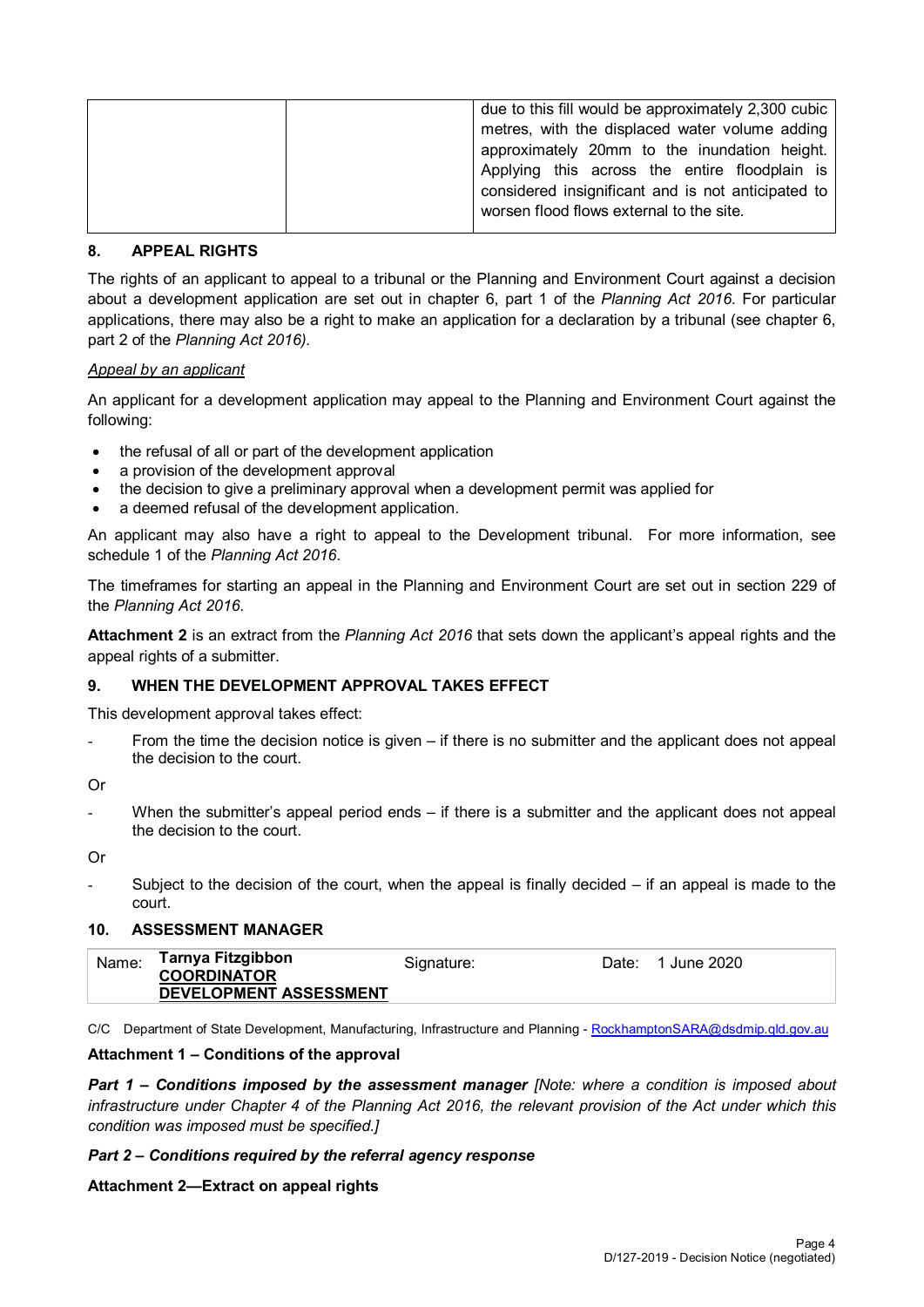| due to this fill would be approximately 2,300 cubic<br>metres, with the displaced water volume adding<br>approximately 20mm to the inundation height.<br>Applying this across the entire floodplain is<br>considered insignificant and is not anticipated to |
|--------------------------------------------------------------------------------------------------------------------------------------------------------------------------------------------------------------------------------------------------------------|
| worsen flood flows external to the site.                                                                                                                                                                                                                     |

#### **8. APPEAL RIGHTS**

The rights of an applicant to appeal to a tribunal or the Planning and Environment Court against a decision about a development application are set out in chapter 6, part 1 of the *Planning Act 2016*. For particular applications, there may also be a right to make an application for a declaration by a tribunal (see chapter 6, part 2 of the *Planning Act 2016).*

#### *Appeal by an applicant*

An applicant for a development application may appeal to the Planning and Environment Court against the following:

- the refusal of all or part of the development application
- a provision of the development approval
- the decision to give a preliminary approval when a development permit was applied for
- a deemed refusal of the development application.

An applicant may also have a right to appeal to the Development tribunal. For more information, see schedule 1 of the *Planning Act 2016*.

The timeframes for starting an appeal in the Planning and Environment Court are set out in section 229 of the *Planning Act 2016*.

**Attachment 2** is an extract from the *Planning Act 2016* that sets down the applicant's appeal rights and the appeal rights of a submitter.

#### **9. WHEN THE DEVELOPMENT APPROVAL TAKES EFFECT**

This development approval takes effect:

From the time the decision notice is given – if there is no submitter and the applicant does not appeal the decision to the court.

Or

When the submitter's appeal period ends – if there is a submitter and the applicant does not appeal the decision to the court.

Or

Subject to the decision of the court, when the appeal is finally decided  $-$  if an appeal is made to the court.

#### **10. ASSESSMENT MANAGER**

| Name: | Tarnya Fitzgibbon<br><b>COORDINATOR</b> | Signature: | Date: | June 2020 |
|-------|-----------------------------------------|------------|-------|-----------|
|       | <b>DEVELOPMENT ASSESSMENT</b>           |            |       |           |

C/C Department of State Development, Manufacturing, Infrastructure and Planning - [RockhamptonSARA@dsdmip.qld.gov.au](mailto:RockhamptonSARA@dsdmip.qld.gov.au)

#### **Attachment 1 – Conditions of the approval**

*Part 1* **–** *Conditions imposed by the assessment manager [Note: where a condition is imposed about infrastructure under Chapter 4 of the Planning Act 2016, the relevant provision of the Act under which this condition was imposed must be specified.]*

#### *Part 2 – Conditions required by the referral agency response*

#### **Attachment 2—Extract on appeal rights**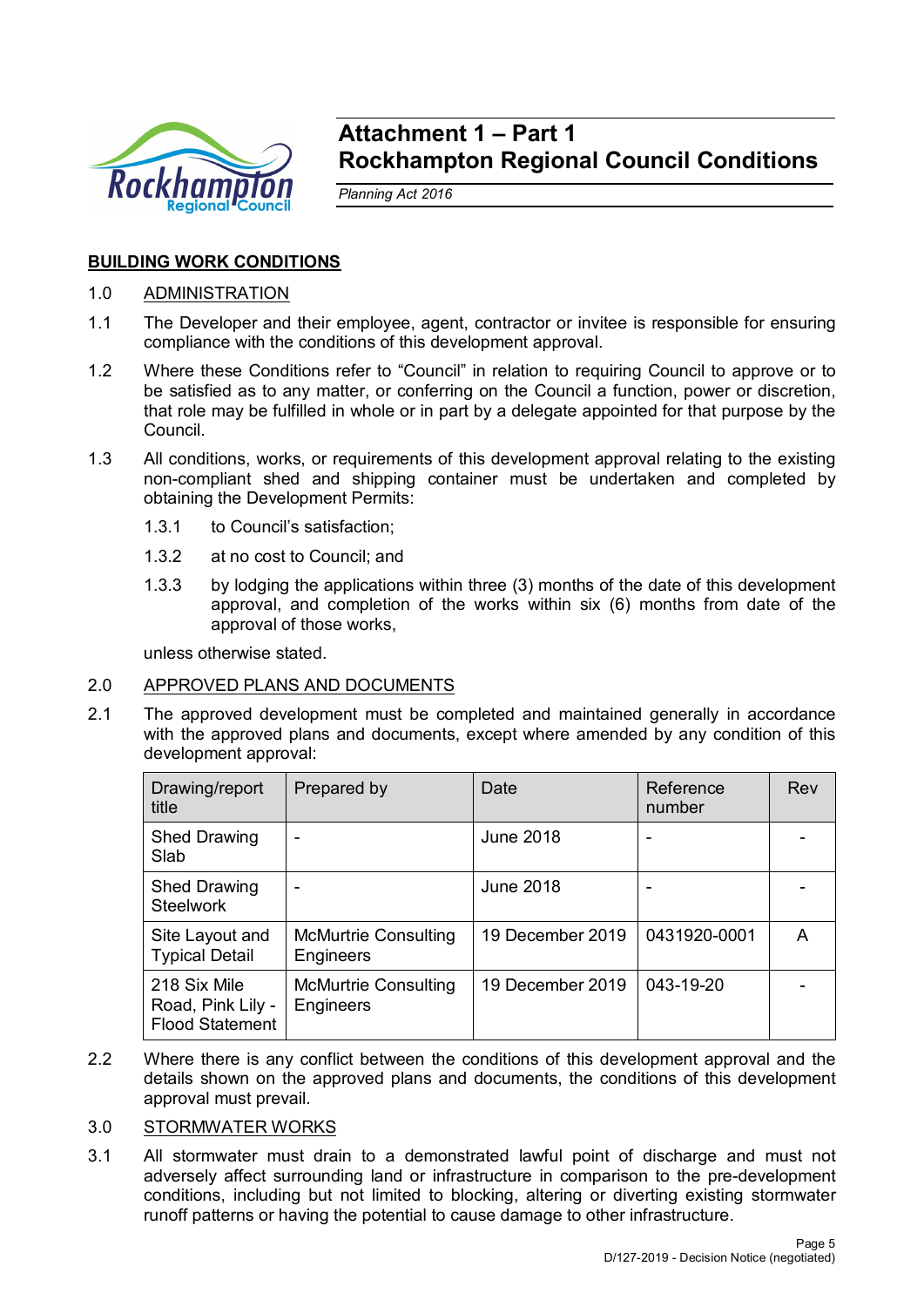

# **Attachment 1 – Part 1 Rockhampton Regional Council Conditions**

*Planning Act 2016*

# **BUILDING WORK CONDITIONS**

# 1.0 ADMINISTRATION

- 1.1 The Developer and their employee, agent, contractor or invitee is responsible for ensuring compliance with the conditions of this development approval.
- 1.2 Where these Conditions refer to "Council" in relation to requiring Council to approve or to be satisfied as to any matter, or conferring on the Council a function, power or discretion, that role may be fulfilled in whole or in part by a delegate appointed for that purpose by the Council.
- 1.3 All conditions, works, or requirements of this development approval relating to the existing non-compliant shed and shipping container must be undertaken and completed by obtaining the Development Permits:
	- 1.3.1 to Council's satisfaction;
	- 1.3.2 at no cost to Council; and
	- 1.3.3 by lodging the applications within three (3) months of the date of this development approval, and completion of the works within six (6) months from date of the approval of those works,

unless otherwise stated.

# 2.0 APPROVED PLANS AND DOCUMENTS

2.1 The approved development must be completed and maintained generally in accordance with the approved plans and documents, except where amended by any condition of this development approval:

| Drawing/report<br>title                                     | Prepared by                              | Date             | Reference<br>number | Rev |
|-------------------------------------------------------------|------------------------------------------|------------------|---------------------|-----|
| <b>Shed Drawing</b><br>Slab                                 |                                          | June 2018        |                     |     |
| <b>Shed Drawing</b><br><b>Steelwork</b>                     | $\overline{\phantom{0}}$                 | June 2018        | -                   |     |
| Site Layout and<br><b>Typical Detail</b>                    | <b>McMurtrie Consulting</b><br>Engineers | 19 December 2019 | 0431920-0001        | А   |
| 218 Six Mile<br>Road, Pink Lily -<br><b>Flood Statement</b> | <b>McMurtrie Consulting</b><br>Engineers | 19 December 2019 | $043 - 19 - 20$     |     |

2.2 Where there is any conflict between the conditions of this development approval and the details shown on the approved plans and documents, the conditions of this development approval must prevail.

# 3.0 STORMWATER WORKS

3.1 All stormwater must drain to a demonstrated lawful point of discharge and must not adversely affect surrounding land or infrastructure in comparison to the pre-development conditions, including but not limited to blocking, altering or diverting existing stormwater runoff patterns or having the potential to cause damage to other infrastructure.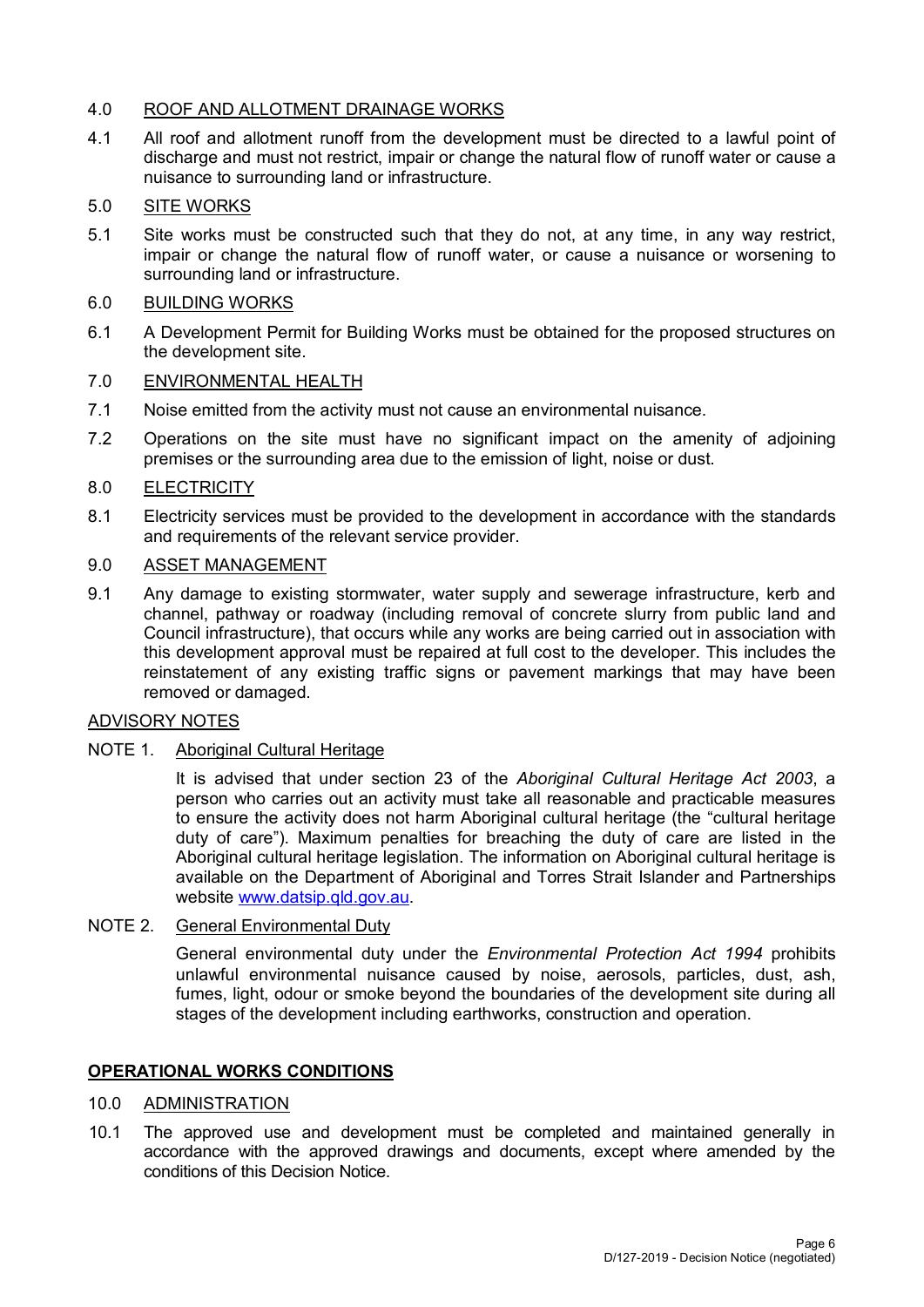# 4.0 ROOF AND ALLOTMENT DRAINAGE WORKS

4.1 All roof and allotment runoff from the development must be directed to a lawful point of discharge and must not restrict, impair or change the natural flow of runoff water or cause a nuisance to surrounding land or infrastructure.

# 5.0 SITE WORKS

5.1 Site works must be constructed such that they do not, at any time, in any way restrict, impair or change the natural flow of runoff water, or cause a nuisance or worsening to surrounding land or infrastructure.

# 6.0 BUILDING WORKS

6.1 A Development Permit for Building Works must be obtained for the proposed structures on the development site.

## 7.0 ENVIRONMENTAL HEALTH

- 7.1 Noise emitted from the activity must not cause an environmental nuisance.
- 7.2 Operations on the site must have no significant impact on the amenity of adjoining premises or the surrounding area due to the emission of light, noise or dust.

# 8.0 ELECTRICITY

8.1 Electricity services must be provided to the development in accordance with the standards and requirements of the relevant service provider.

#### 9.0 ASSET MANAGEMENT

9.1 Any damage to existing stormwater, water supply and sewerage infrastructure, kerb and channel, pathway or roadway (including removal of concrete slurry from public land and Council infrastructure), that occurs while any works are being carried out in association with this development approval must be repaired at full cost to the developer. This includes the reinstatement of any existing traffic signs or pavement markings that may have been removed or damaged.

## ADVISORY NOTES

#### NOTE 1. Aboriginal Cultural Heritage

It is advised that under section 23 of the *Aboriginal Cultural Heritage Act 2003*, a person who carries out an activity must take all reasonable and practicable measures to ensure the activity does not harm Aboriginal cultural heritage (the "cultural heritage duty of care"). Maximum penalties for breaching the duty of care are listed in the Aboriginal cultural heritage legislation. The information on Aboriginal cultural heritage is available on the Department of Aboriginal and Torres Strait Islander and Partnerships website [www.datsip.qld.gov.au.](http://www.datsip.qld.gov.au/)

NOTE 2. General Environmental Duty

General environmental duty under the *Environmental Protection Act 1994* prohibits unlawful environmental nuisance caused by noise, aerosols, particles, dust, ash, fumes, light, odour or smoke beyond the boundaries of the development site during all stages of the development including earthworks, construction and operation.

# **OPERATIONAL WORKS CONDITIONS**

#### 10.0 ADMINISTRATION

10.1 The approved use and development must be completed and maintained generally in accordance with the approved drawings and documents, except where amended by the conditions of this Decision Notice.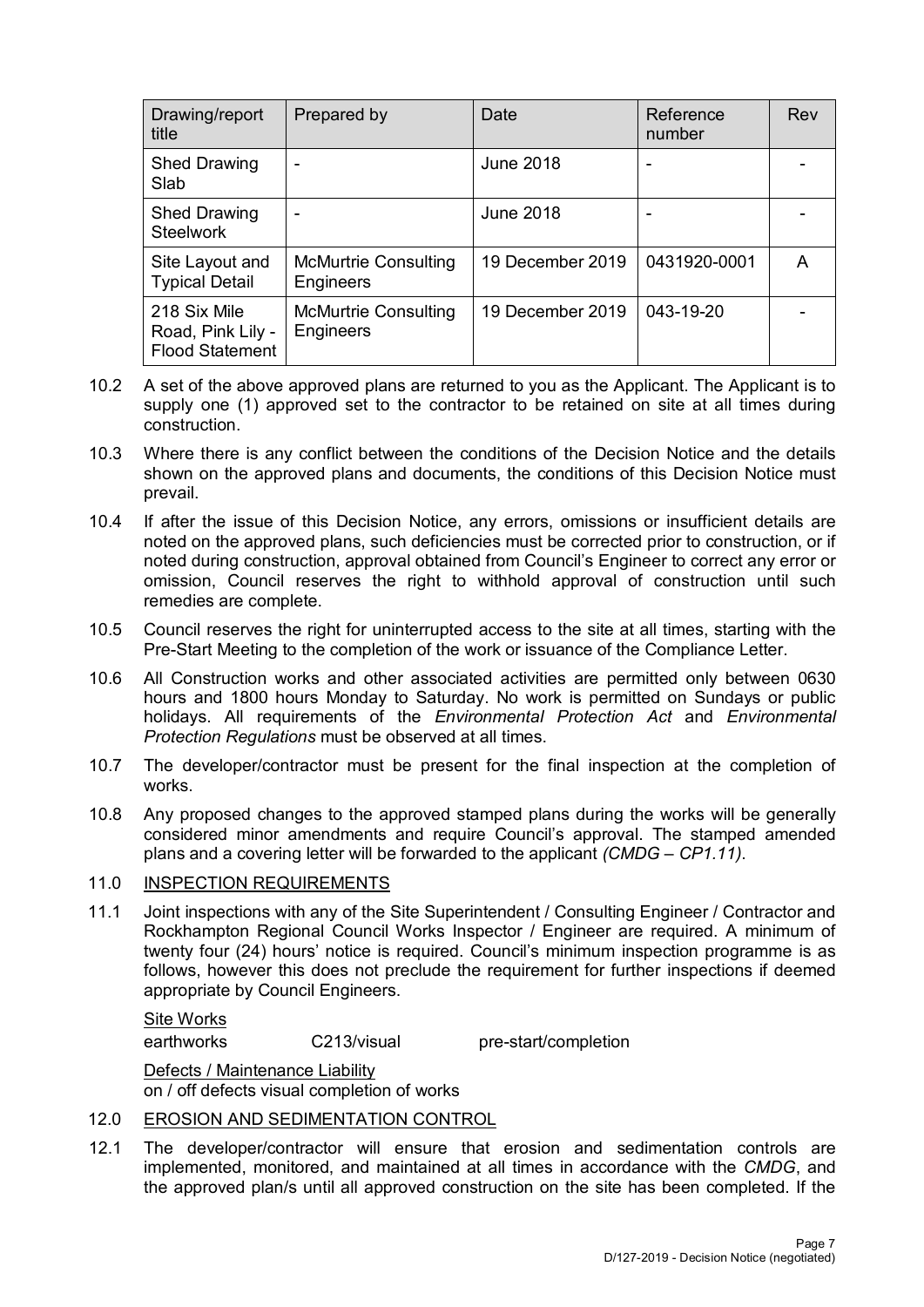| Drawing/report<br>title                                     | Prepared by                                     | Date             | Reference<br>number | Rev |
|-------------------------------------------------------------|-------------------------------------------------|------------------|---------------------|-----|
| <b>Shed Drawing</b><br>Slab                                 |                                                 | <b>June 2018</b> | -                   |     |
| <b>Shed Drawing</b><br><b>Steelwork</b>                     | -                                               | <b>June 2018</b> | -                   |     |
| Site Layout and<br><b>Typical Detail</b>                    | <b>McMurtrie Consulting</b><br><b>Engineers</b> | 19 December 2019 | 0431920-0001        | А   |
| 218 Six Mile<br>Road, Pink Lily -<br><b>Flood Statement</b> | <b>McMurtrie Consulting</b><br>Engineers        | 19 December 2019 | 043-19-20           |     |

- 10.2 A set of the above approved plans are returned to you as the Applicant. The Applicant is to supply one (1) approved set to the contractor to be retained on site at all times during construction.
- 10.3 Where there is any conflict between the conditions of the Decision Notice and the details shown on the approved plans and documents, the conditions of this Decision Notice must prevail.
- 10.4 If after the issue of this Decision Notice, any errors, omissions or insufficient details are noted on the approved plans, such deficiencies must be corrected prior to construction, or if noted during construction, approval obtained from Council's Engineer to correct any error or omission, Council reserves the right to withhold approval of construction until such remedies are complete.
- 10.5 Council reserves the right for uninterrupted access to the site at all times, starting with the Pre-Start Meeting to the completion of the work or issuance of the Compliance Letter.
- 10.6 All Construction works and other associated activities are permitted only between 0630 hours and 1800 hours Monday to Saturday. No work is permitted on Sundays or public holidays. All requirements of the *Environmental Protection Act* and *Environmental Protection Regulations* must be observed at all times.
- 10.7 The developer/contractor must be present for the final inspection at the completion of works.
- 10.8 Any proposed changes to the approved stamped plans during the works will be generally considered minor amendments and require Council's approval. The stamped amended plans and a covering letter will be forwarded to the applicant *(CMDG – CP1.11)*.

# 11.0 INSPECTION REQUIREMENTS

11.1 Joint inspections with any of the Site Superintendent / Consulting Engineer / Contractor and Rockhampton Regional Council Works Inspector / Engineer are required. A minimum of twenty four (24) hours' notice is required. Council's minimum inspection programme is as follows, however this does not preclude the requirement for further inspections if deemed appropriate by Council Engineers.

# Site Works

earthworks C213/visual pre-start/completion

Defects / Maintenance Liability on / off defects visual completion of works

- 12.0 EROSION AND SEDIMENTATION CONTROL
- 12.1 The developer/contractor will ensure that erosion and sedimentation controls are implemented, monitored, and maintained at all times in accordance with the *CMDG*, and the approved plan/s until all approved construction on the site has been completed. If the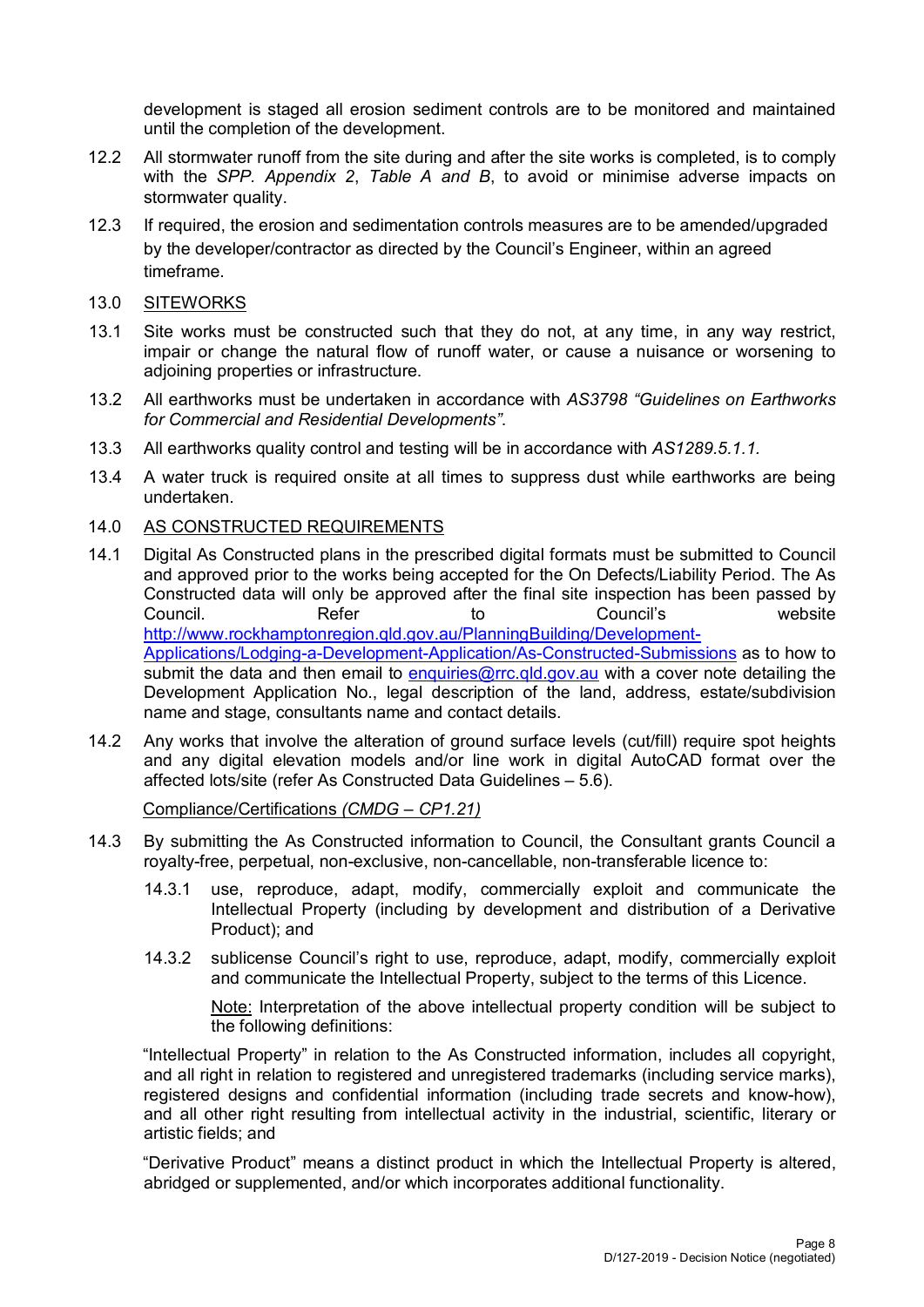development is staged all erosion sediment controls are to be monitored and maintained until the completion of the development.

- 12.2 All stormwater runoff from the site during and after the site works is completed, is to comply with the *SPP. Appendix 2*, *Table A and B*, to avoid or minimise adverse impacts on stormwater quality.
- 12.3 If required, the erosion and sedimentation controls measures are to be amended/upgraded by the developer/contractor as directed by the Council's Engineer, within an agreed timeframe.
- 13.0 SITEWORKS
- 13.1 Site works must be constructed such that they do not, at any time, in any way restrict, impair or change the natural flow of runoff water, or cause a nuisance or worsening to adjoining properties or infrastructure.
- 13.2 All earthworks must be undertaken in accordance with *AS3798 "Guidelines on Earthworks for Commercial and Residential Developments"*.
- 13.3 All earthworks quality control and testing will be in accordance with *AS1289.5.1.1.*
- 13.4 A water truck is required onsite at all times to suppress dust while earthworks are being undertaken.
- 14.0 AS CONSTRUCTED REQUIREMENTS
- 14.1 Digital As Constructed plans in the prescribed digital formats must be submitted to Council and approved prior to the works being accepted for the On Defects/Liability Period. The As Constructed data will only be approved after the final site inspection has been passed by Council. Refer to Council's website [http://www.rockhamptonregion.qld.gov.au/PlanningBuilding/Development-](http://www.rockhamptonregion.qld.gov.au/PlanningBuilding/Development-Applications/Lodging-a-Development-Application/As-Constructed-Submissions)[Applications/Lodging-a-Development-Application/As-Constructed-Submissions](http://www.rockhamptonregion.qld.gov.au/PlanningBuilding/Development-Applications/Lodging-a-Development-Application/As-Constructed-Submissions) as to how to submit the data and then email to [enquiries@rrc.qld.gov.au](mailto:enquiries@rrc.qld.gov.au) with a cover note detailing the Development Application No., legal description of the land, address, estate/subdivision name and stage, consultants name and contact details.
- 14.2 Any works that involve the alteration of ground surface levels (cut/fill) require spot heights and any digital elevation models and/or line work in digital AutoCAD format over the affected lots/site (refer As Constructed Data Guidelines – 5.6).

Compliance/Certifications *(CMDG – CP1.21)*

- 14.3 By submitting the As Constructed information to Council, the Consultant grants Council a royalty-free, perpetual, non-exclusive, non-cancellable, non-transferable licence to:
	- 14.3.1 use, reproduce, adapt, modify, commercially exploit and communicate the Intellectual Property (including by development and distribution of a Derivative Product); and
	- 14.3.2 sublicense Council's right to use, reproduce, adapt, modify, commercially exploit and communicate the Intellectual Property, subject to the terms of this Licence.

Note: Interpretation of the above intellectual property condition will be subject to the following definitions:

"Intellectual Property" in relation to the As Constructed information, includes all copyright, and all right in relation to registered and unregistered trademarks (including service marks), registered designs and confidential information (including trade secrets and know-how), and all other right resulting from intellectual activity in the industrial, scientific, literary or artistic fields; and

"Derivative Product" means a distinct product in which the Intellectual Property is altered, abridged or supplemented, and/or which incorporates additional functionality.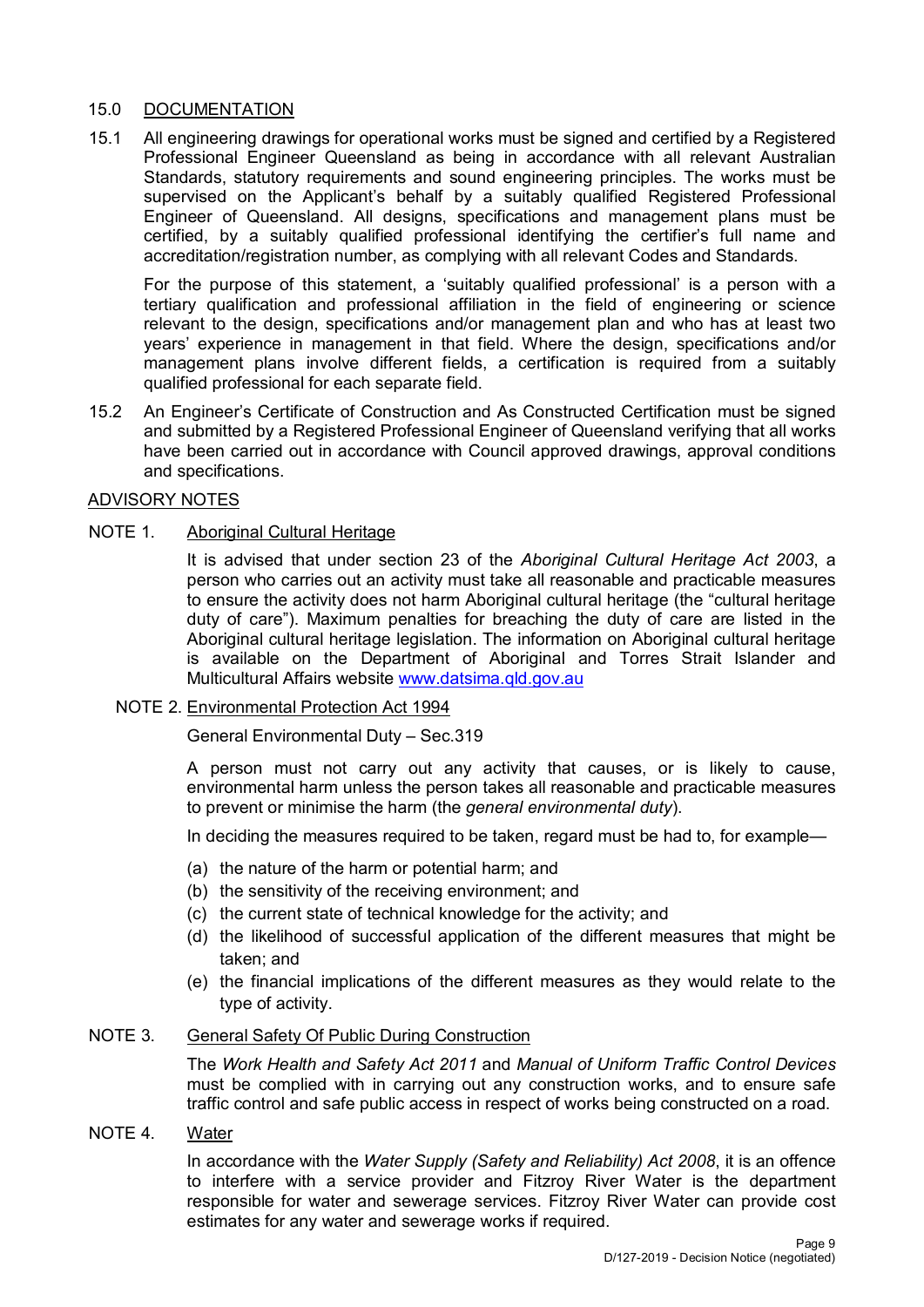# 15.0 DOCUMENTATION

15.1 All engineering drawings for operational works must be signed and certified by a Registered Professional Engineer Queensland as being in accordance with all relevant Australian Standards, statutory requirements and sound engineering principles. The works must be supervised on the Applicant's behalf by a suitably qualified Registered Professional Engineer of Queensland. All designs, specifications and management plans must be certified, by a suitably qualified professional identifying the certifier's full name and accreditation/registration number, as complying with all relevant Codes and Standards.

For the purpose of this statement, a 'suitably qualified professional' is a person with a tertiary qualification and professional affiliation in the field of engineering or science relevant to the design, specifications and/or management plan and who has at least two years' experience in management in that field. Where the design, specifications and/or management plans involve different fields, a certification is required from a suitably qualified professional for each separate field.

15.2 An Engineer's Certificate of Construction and As Constructed Certification must be signed and submitted by a Registered Professional Engineer of Queensland verifying that all works have been carried out in accordance with Council approved drawings, approval conditions and specifications.

## ADVISORY NOTES

# NOTE 1. Aboriginal Cultural Heritage

It is advised that under section 23 of the *Aboriginal Cultural Heritage Act 2003*, a person who carries out an activity must take all reasonable and practicable measures to ensure the activity does not harm Aboriginal cultural heritage (the "cultural heritage duty of care"). Maximum penalties for breaching the duty of care are listed in the Aboriginal cultural heritage legislation. The information on Aboriginal cultural heritage is available on the Department of Aboriginal and Torres Strait Islander and Multicultural Affairs website [www.datsima.qld.gov.au](http://www.datsima.qld.gov.au/)

#### NOTE 2. Environmental Protection Act 1994

General Environmental Duty – Sec.319

A person must not carry out any activity that causes, or is likely to cause, environmental harm unless the person takes all reasonable and practicable measures to prevent or minimise the harm (the *general environmental duty*).

In deciding the measures required to be taken, regard must be had to, for example—

- (a) the nature of the harm or potential harm; and
- (b) the sensitivity of the receiving environment; and
- (c) the current state of technical knowledge for the activity; and
- (d) the likelihood of successful application of the different measures that might be taken; and
- (e) the financial implications of the different measures as they would relate to the type of activity.

# NOTE 3. General Safety Of Public During Construction

The *Work Health and Safety Act 2011* and *Manual of Uniform Traffic Control Devices* must be complied with in carrying out any construction works, and to ensure safe traffic control and safe public access in respect of works being constructed on a road.

#### NOTE 4. Water

In accordance with the *Water Supply (Safety and Reliability) Act 2008*, it is an offence to interfere with a service provider and Fitzroy River Water is the department responsible for water and sewerage services. Fitzroy River Water can provide cost estimates for any water and sewerage works if required.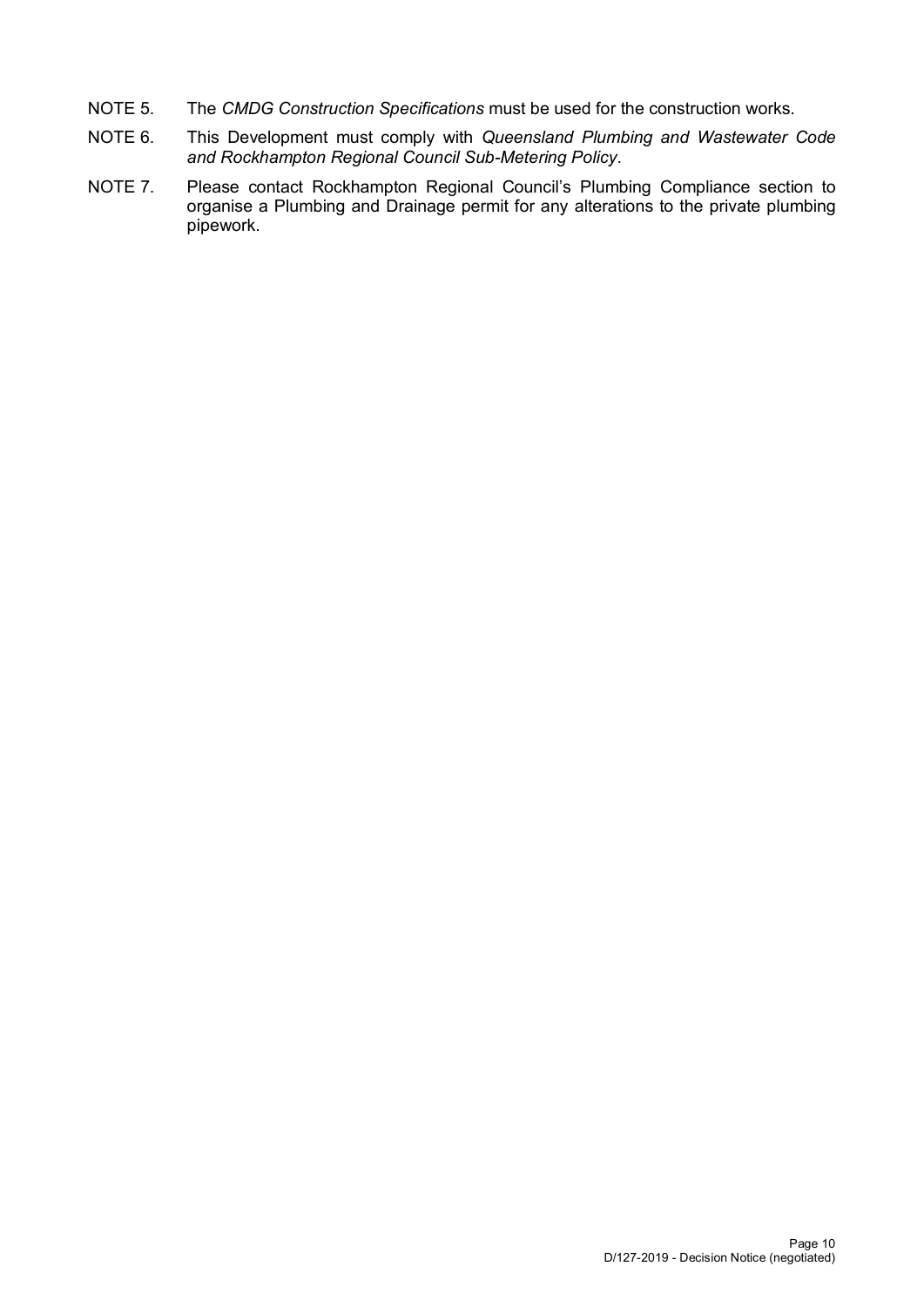- NOTE 5. The *CMDG Construction Specifications* must be used for the construction works.
- NOTE 6. This Development must comply with *Queensland Plumbing and Wastewater Code and Rockhampton Regional Council Sub-Metering Policy*.
- NOTE 7. Please contact Rockhampton Regional Council's Plumbing Compliance section to organise a Plumbing and Drainage permit for any alterations to the private plumbing pipework.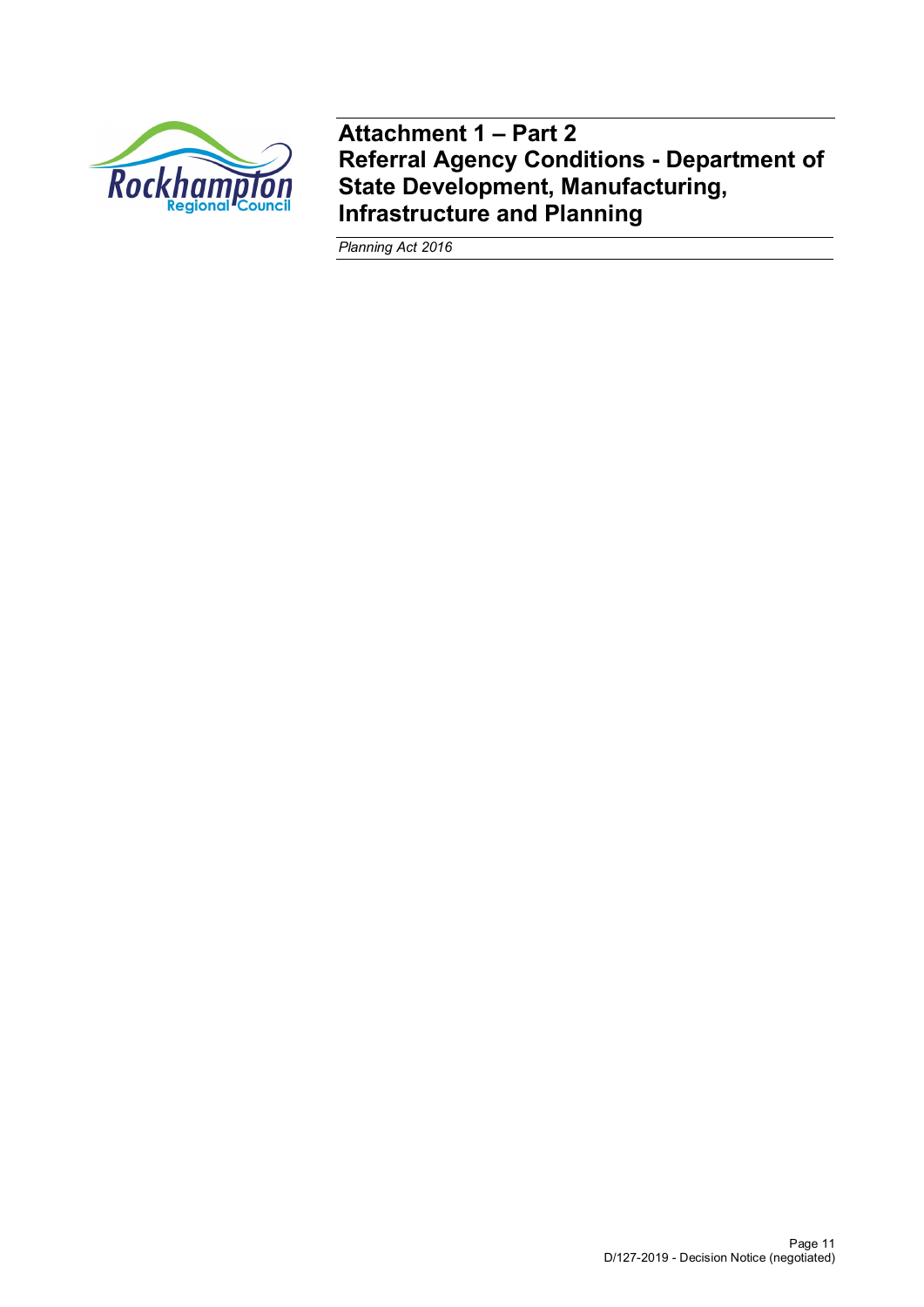

**Attachment 1 – Part 2 Referral Agency Conditions - Department of State Development, Manufacturing, Infrastructure and Planning**

*Planning Act 2016*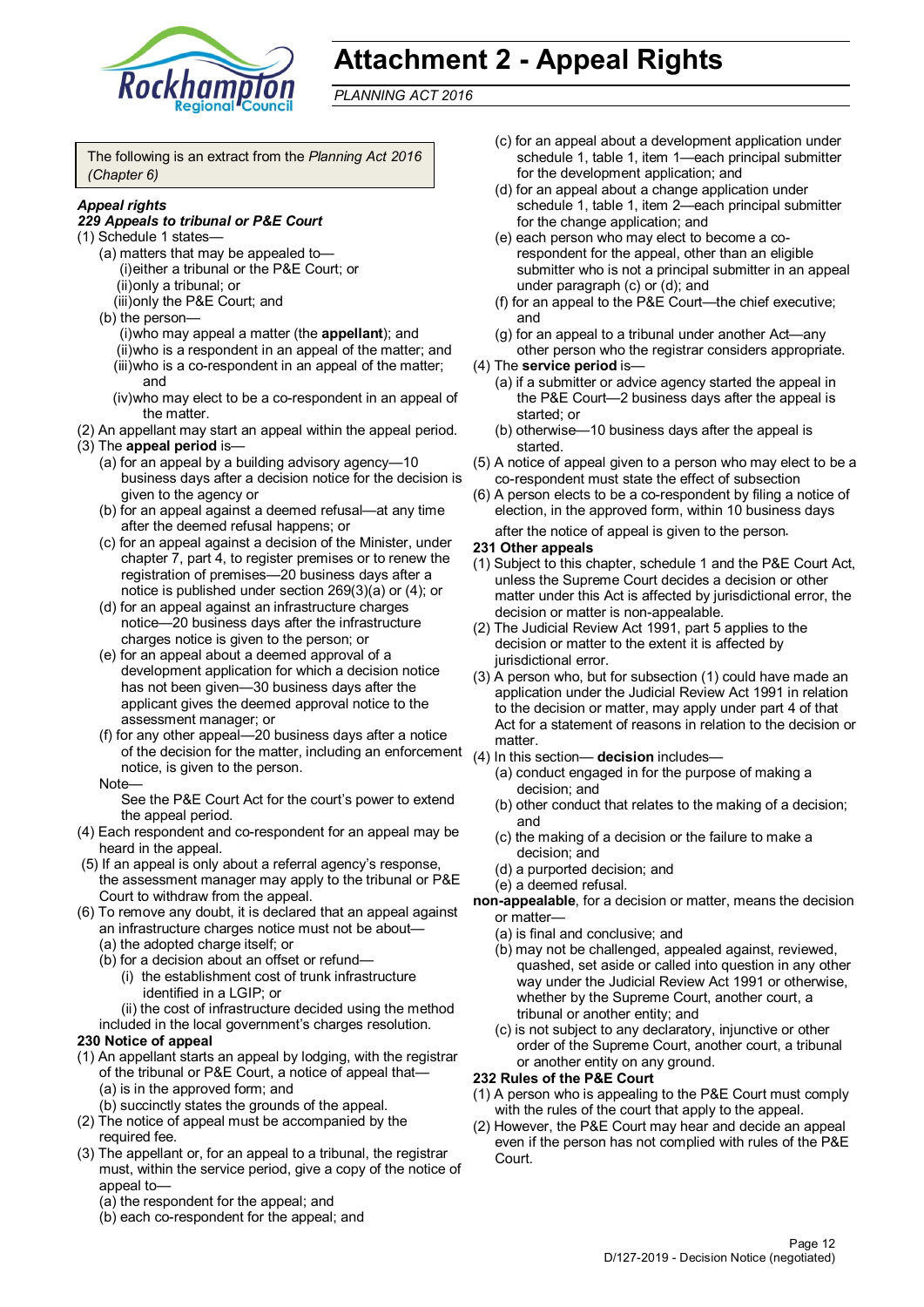

# **Attachment 2 - Appeal Rights**

*PLANNING ACT 2016*

The following is an extract from the *Planning Act 2016 (Chapter 6)*

#### *Appeal rights*

#### *229 Appeals to tribunal or P&E Court*

- (1) Schedule 1 states—
	- (a) matters that may be appealed to— (i)either a tribunal or the P&E Court; or (ii)only a tribunal; or
	- (iii)only the P&E Court; and
	- (b) the person—
		- (i)who may appeal a matter (the **appellant**); and
		- (ii)who is a respondent in an appeal of the matter; and (iii)who is a co-respondent in an appeal of the matter; and
		- (iv)who may elect to be a co-respondent in an appeal of the matter.
- (2) An appellant may start an appeal within the appeal period. (3) The **appeal period** is—
	- (a) for an appeal by a building advisory agency—10 business days after a decision notice for the decision is given to the agency or
	- (b) for an appeal against a deemed refusal—at any time after the deemed refusal happens; or
	- (c) for an appeal against a decision of the Minister, under chapter 7, part 4, to register premises or to renew the registration of premises—20 business days after a notice is published under section 269(3)(a) or (4); or
	- (d) for an appeal against an infrastructure charges notice—20 business days after the infrastructure charges notice is given to the person; or
	- (e) for an appeal about a deemed approval of a development application for which a decision notice has not been given—30 business days after the applicant gives the deemed approval notice to the assessment manager; or
	- (f) for any other appeal—20 business days after a notice of the decision for the matter, including an enforcement (4) In this section— **decision** includes notice, is given to the person.

#### Note—

See the P&E Court Act for the court's power to extend the appeal period.

- (4) Each respondent and co-respondent for an appeal may be heard in the appeal.
- (5) If an appeal is only about a referral agency's response, the assessment manager may apply to the tribunal or P&E Court to withdraw from the appeal.
- (6) To remove any doubt, it is declared that an appeal against an infrastructure charges notice must not be about—
	- (a) the adopted charge itself; or
	- (b) for a decision about an offset or refund—
		- (i) the establishment cost of trunk infrastructure identified in a LGIP; or

(ii) the cost of infrastructure decided using the method

included in the local government's charges resolution. **230 Notice of appeal**

- (1) An appellant starts an appeal by lodging, with the registrar
- of the tribunal or P&E Court, a notice of appeal that— (a) is in the approved form; and
	- (b) succinctly states the grounds of the appeal.
- (2) The notice of appeal must be accompanied by the required fee.
- (3) The appellant or, for an appeal to a tribunal, the registrar must, within the service period, give a copy of the notice of appeal to—
	- (a) the respondent for the appeal; and
	- (b) each co-respondent for the appeal; and
- (c) for an appeal about a development application under schedule 1, table 1, item 1—each principal submitter for the development application; and
- (d) for an appeal about a change application under schedule 1, table 1, item 2—each principal submitter for the change application; and
- (e) each person who may elect to become a corespondent for the appeal, other than an eligible submitter who is not a principal submitter in an appeal under paragraph (c) or (d); and
- (f) for an appeal to the P&E Court—the chief executive; and
- (g) for an appeal to a tribunal under another Act—any other person who the registrar considers appropriate.
- (4) The **service period** is—
	- (a) if a submitter or advice agency started the appeal in the P&E Court—2 business days after the appeal is started; or
	- (b) otherwise—10 business days after the appeal is started.
- (5) A notice of appeal given to a person who may elect to be a co-respondent must state the effect of subsection
- (6) A person elects to be a co-respondent by filing a notice of election, in the approved form, within 10 business days after the notice of appeal is given to the person*.*

#### **231 Other appeals**

- (1) Subject to this chapter, schedule 1 and the P&E Court Act, unless the Supreme Court decides a decision or other matter under this Act is affected by jurisdictional error, the decision or matter is non-appealable.
- (2) The Judicial Review Act 1991, part 5 applies to the decision or matter to the extent it is affected by jurisdictional error.
- (3) A person who, but for subsection (1) could have made an application under the Judicial Review Act 1991 in relation to the decision or matter, may apply under part 4 of that Act for a statement of reasons in relation to the decision or matter.
- - (a) conduct engaged in for the purpose of making a decision; and
	- (b) other conduct that relates to the making of a decision; and
	- (c) the making of a decision or the failure to make a decision; and
	- (d) a purported decision; and
	- (e) a deemed refusal.
- **non-appealable**, for a decision or matter, means the decision or matter—
	- (a) is final and conclusive; and
	- (b) may not be challenged, appealed against, reviewed, quashed, set aside or called into question in any other way under the Judicial Review Act 1991 or otherwise, whether by the Supreme Court, another court, a tribunal or another entity; and
	- (c) is not subject to any declaratory, injunctive or other order of the Supreme Court, another court, a tribunal or another entity on any ground.

#### **232 Rules of the P&E Court**

- (1) A person who is appealing to the P&E Court must comply with the rules of the court that apply to the appeal.
- (2) However, the P&E Court may hear and decide an appeal even if the person has not complied with rules of the P&E Court.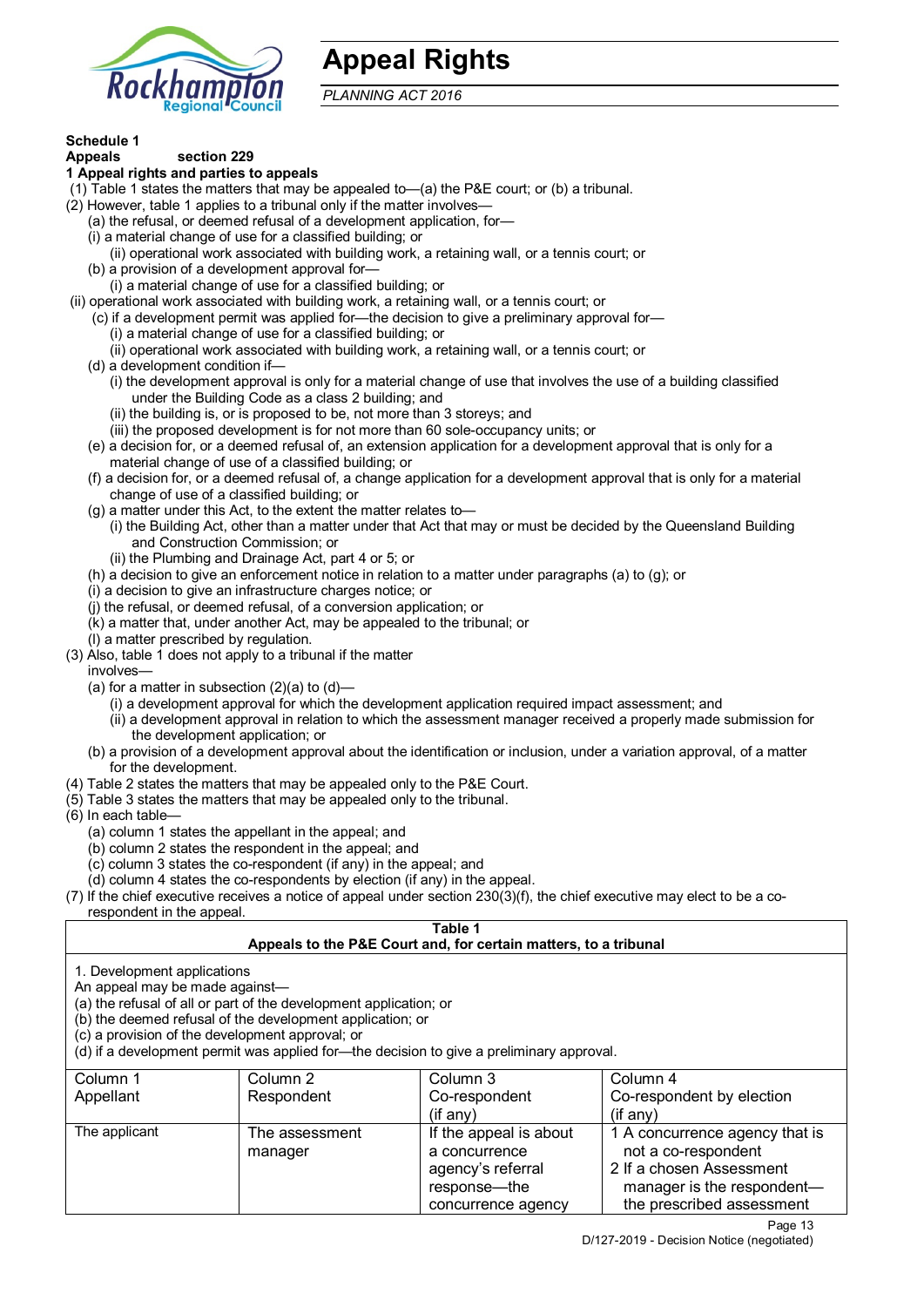

# **Appeal Rights**

*PLANNING ACT 2016*

# **Schedule 1**

#### **Appeals section 229 1 Appeal rights and parties to appeals**

- (1) Table 1 states the matters that may be appealed to—(a) the P&E court; or (b) a tribunal.
- (2) However, table 1 applies to a tribunal only if the matter involves—
	- (a) the refusal, or deemed refusal of a development application, for—
	- (i) a material change of use for a classified building; or
	- (ii) operational work associated with building work, a retaining wall, or a tennis court; or (b) a provision of a development approval for—
	- (i) a material change of use for a classified building; or
- (ii) operational work associated with building work, a retaining wall, or a tennis court; or
	- (c) if a development permit was applied for—the decision to give a preliminary approval for—
		- (i) a material change of use for a classified building; or
		- (ii) operational work associated with building work, a retaining wall, or a tennis court; or
	- (d) a development condition if—
		- (i) the development approval is only for a material change of use that involves the use of a building classified under the Building Code as a class 2 building; and
		- (ii) the building is, or is proposed to be, not more than 3 storeys; and
		- (iii) the proposed development is for not more than 60 sole-occupancy units; or
	- (e) a decision for, or a deemed refusal of, an extension application for a development approval that is only for a material change of use of a classified building; or
	- (f) a decision for, or a deemed refusal of, a change application for a development approval that is only for a material change of use of a classified building; or
	- (g) a matter under this Act, to the extent the matter relates to—
		- (i) the Building Act, other than a matter under that Act that may or must be decided by the Queensland Building and Construction Commission; or
		- (ii) the Plumbing and Drainage Act, part 4 or 5; or
	- (h) a decision to give an enforcement notice in relation to a matter under paragraphs (a) to (g); or
	- (i) a decision to give an infrastructure charges notice; or
	- (j) the refusal, or deemed refusal, of a conversion application; or
	- (k) a matter that, under another Act, may be appealed to the tribunal; or
	- (l) a matter prescribed by regulation.
- (3) Also, table 1 does not apply to a tribunal if the matter
- involves—
	- (a) for a matter in subsection (2)(a) to (d)—
		- (i) a development approval for which the development application required impact assessment; and
		- (ii) a development approval in relation to which the assessment manager received a properly made submission for the development application; or
	- (b) a provision of a development approval about the identification or inclusion, under a variation approval, of a matter for the development.
- (4) Table 2 states the matters that may be appealed only to the P&E Court.
- (5) Table 3 states the matters that may be appealed only to the tribunal.
- (6) In each table—
	- (a) column 1 states the appellant in the appeal; and
	- (b) column 2 states the respondent in the appeal; and
	- (c) column 3 states the co-respondent (if any) in the appeal; and
- (d) column 4 states the co-respondents by election (if any) in the appeal.
- (7) If the chief executive receives a notice of appeal under section 230(3)(f), the chief executive may elect to be a corespondent in the appeal.

# **Table 1**

# **Appeals to the P&E Court and, for certain matters, to a tribunal**

1. Development applications

An appeal may be made against—

(a) the refusal of all or part of the development application; or

(b) the deemed refusal of the development application; or

(c) a provision of the development approval; or

(d) if a development permit was applied for—the decision to give a preliminary approval.

| Column 1      | Column 2                  | Column 3                                                                                             | Column 4                                                                                                                                     |
|---------------|---------------------------|------------------------------------------------------------------------------------------------------|----------------------------------------------------------------------------------------------------------------------------------------------|
| Appellant     | Respondent                | Co-respondent                                                                                        | Co-respondent by election                                                                                                                    |
|               |                           | (if any)                                                                                             | $($ if any $)$                                                                                                                               |
| The applicant | The assessment<br>manager | If the appeal is about<br>a concurrence<br>agency's referral<br>response---the<br>concurrence agency | 1 A concurrence agency that is<br>not a co-respondent<br>2 If a chosen Assessment<br>manager is the respondent-<br>the prescribed assessment |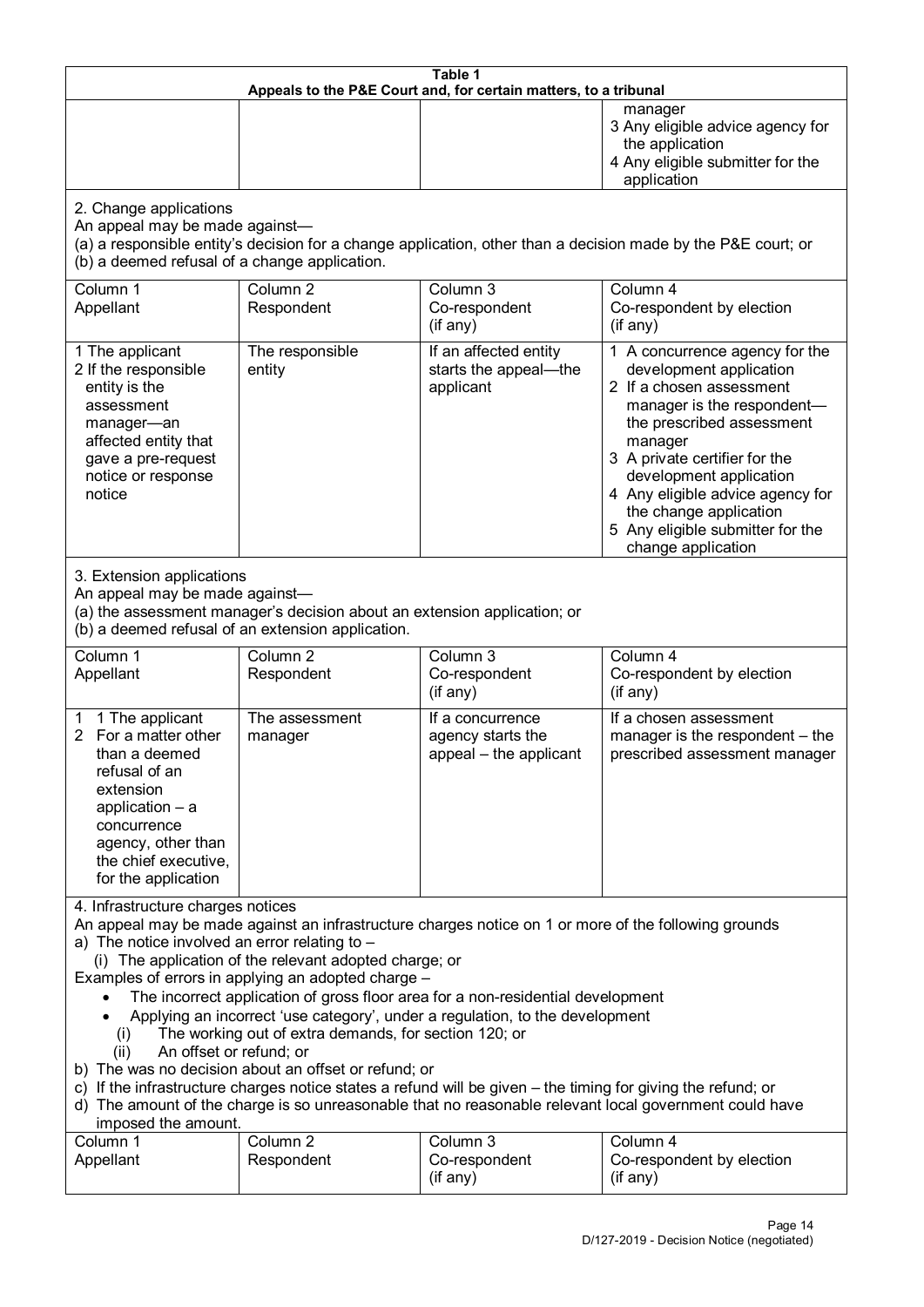| Table 1<br>Appeals to the P&E Court and, for certain matters, to a tribunal                                                                                                                                                                                                                                                                                                                                                                                                                                                                                                                                                                                                                                                                                                                                                                                                               |                                   |                                                                 |                                                                                                                                                                                                                                                                                                                                                 |
|-------------------------------------------------------------------------------------------------------------------------------------------------------------------------------------------------------------------------------------------------------------------------------------------------------------------------------------------------------------------------------------------------------------------------------------------------------------------------------------------------------------------------------------------------------------------------------------------------------------------------------------------------------------------------------------------------------------------------------------------------------------------------------------------------------------------------------------------------------------------------------------------|-----------------------------------|-----------------------------------------------------------------|-------------------------------------------------------------------------------------------------------------------------------------------------------------------------------------------------------------------------------------------------------------------------------------------------------------------------------------------------|
|                                                                                                                                                                                                                                                                                                                                                                                                                                                                                                                                                                                                                                                                                                                                                                                                                                                                                           |                                   |                                                                 | manager<br>3 Any eligible advice agency for<br>the application<br>4 Any eligible submitter for the<br>application                                                                                                                                                                                                                               |
| 2. Change applications<br>An appeal may be made against-<br>(b) a deemed refusal of a change application.                                                                                                                                                                                                                                                                                                                                                                                                                                                                                                                                                                                                                                                                                                                                                                                 |                                   |                                                                 | (a) a responsible entity's decision for a change application, other than a decision made by the P&E court; or                                                                                                                                                                                                                                   |
| Column 1<br>Appellant                                                                                                                                                                                                                                                                                                                                                                                                                                                                                                                                                                                                                                                                                                                                                                                                                                                                     | Column <sub>2</sub><br>Respondent | Column 3<br>Co-respondent<br>(if any)                           | Column 4<br>Co-respondent by election<br>(if any)                                                                                                                                                                                                                                                                                               |
| 1 The applicant<br>2 If the responsible<br>entity is the<br>assessment<br>manager-an<br>affected entity that<br>gave a pre-request<br>notice or response<br>notice                                                                                                                                                                                                                                                                                                                                                                                                                                                                                                                                                                                                                                                                                                                        | The responsible<br>entity         | If an affected entity<br>starts the appeal-the<br>applicant     | 1 A concurrence agency for the<br>development application<br>2 If a chosen assessment<br>manager is the respondent-<br>the prescribed assessment<br>manager<br>3 A private certifier for the<br>development application<br>4 Any eligible advice agency for<br>the change application<br>5 Any eligible submitter for the<br>change application |
| 3. Extension applications<br>An appeal may be made against-<br>(a) the assessment manager's decision about an extension application; or<br>(b) a deemed refusal of an extension application.                                                                                                                                                                                                                                                                                                                                                                                                                                                                                                                                                                                                                                                                                              |                                   |                                                                 |                                                                                                                                                                                                                                                                                                                                                 |
| Column 1<br>Appellant                                                                                                                                                                                                                                                                                                                                                                                                                                                                                                                                                                                                                                                                                                                                                                                                                                                                     | Column <sub>2</sub><br>Respondent | Column 3<br>Co-respondent<br>(if any)                           | Column 4<br>Co-respondent by election<br>(if any)                                                                                                                                                                                                                                                                                               |
| 1 The applicant<br>1<br>2 For a matter other<br>than a deemed<br>refusal of an<br>extension<br>application $-$ a<br>concurrence<br>agency, other than<br>the chief executive,<br>for the application                                                                                                                                                                                                                                                                                                                                                                                                                                                                                                                                                                                                                                                                                      | The assessment<br>manager         | If a concurrence<br>agency starts the<br>appeal - the applicant | If a chosen assessment<br>manager is the respondent - the<br>prescribed assessment manager                                                                                                                                                                                                                                                      |
| 4. Infrastructure charges notices<br>An appeal may be made against an infrastructure charges notice on 1 or more of the following grounds<br>a) The notice involved an error relating to -<br>(i) The application of the relevant adopted charge; or<br>Examples of errors in applying an adopted charge -<br>The incorrect application of gross floor area for a non-residential development<br>Applying an incorrect 'use category', under a regulation, to the development<br>The working out of extra demands, for section 120; or<br>(i)<br>An offset or refund; or<br>(ii)<br>b) The was no decision about an offset or refund; or<br>c) If the infrastructure charges notice states a refund will be given – the timing for giving the refund; or<br>d) The amount of the charge is so unreasonable that no reasonable relevant local government could have<br>imposed the amount. |                                   |                                                                 |                                                                                                                                                                                                                                                                                                                                                 |
| Column 1<br>Appellant                                                                                                                                                                                                                                                                                                                                                                                                                                                                                                                                                                                                                                                                                                                                                                                                                                                                     | Column 2<br>Respondent            | Column 3<br>Co-respondent<br>(if any)                           | Column 4<br>Co-respondent by election<br>(if any)                                                                                                                                                                                                                                                                                               |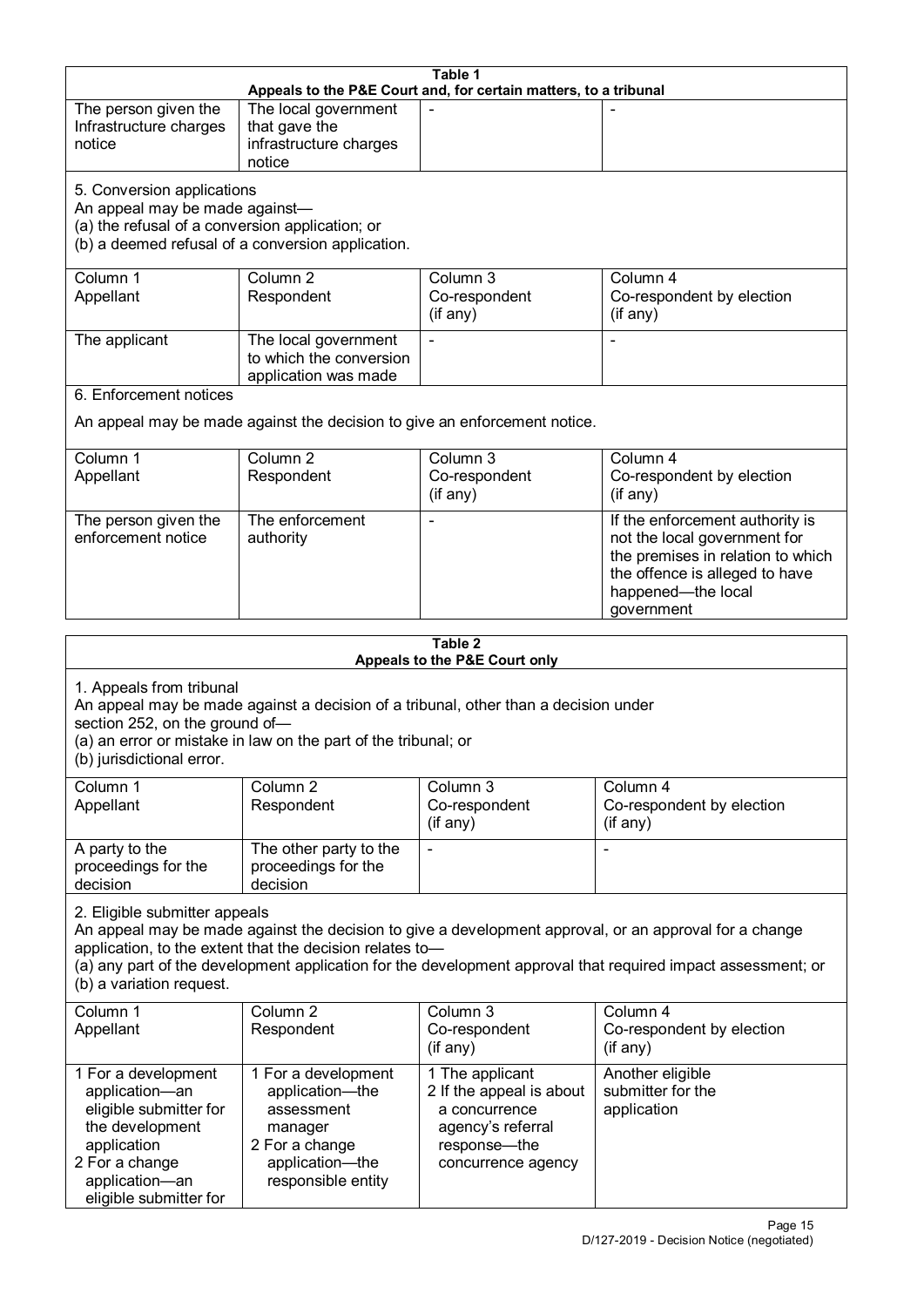| Table 1<br>Appeals to the P&E Court and, for certain matters, to a tribunal                                                                                                                                                                                                                                                                     |                                                                           |                                           |                                                                                                                                                              |  |
|-------------------------------------------------------------------------------------------------------------------------------------------------------------------------------------------------------------------------------------------------------------------------------------------------------------------------------------------------|---------------------------------------------------------------------------|-------------------------------------------|--------------------------------------------------------------------------------------------------------------------------------------------------------------|--|
| The person given the                                                                                                                                                                                                                                                                                                                            | The local government                                                      |                                           |                                                                                                                                                              |  |
| Infrastructure charges                                                                                                                                                                                                                                                                                                                          | that gave the                                                             |                                           |                                                                                                                                                              |  |
| notice                                                                                                                                                                                                                                                                                                                                          | infrastructure charges                                                    |                                           |                                                                                                                                                              |  |
|                                                                                                                                                                                                                                                                                                                                                 | notice                                                                    |                                           |                                                                                                                                                              |  |
| 5. Conversion applications<br>An appeal may be made against-                                                                                                                                                                                                                                                                                    |                                                                           |                                           |                                                                                                                                                              |  |
| (a) the refusal of a conversion application; or                                                                                                                                                                                                                                                                                                 | (b) a deemed refusal of a conversion application.                         |                                           |                                                                                                                                                              |  |
| Column 1                                                                                                                                                                                                                                                                                                                                        | Column <sub>2</sub>                                                       | Column 3                                  | Column 4                                                                                                                                                     |  |
| Appellant                                                                                                                                                                                                                                                                                                                                       | Respondent                                                                | Co-respondent<br>(if any)                 | Co-respondent by election<br>(if any)                                                                                                                        |  |
| The applicant                                                                                                                                                                                                                                                                                                                                   | The local government<br>to which the conversion                           |                                           |                                                                                                                                                              |  |
| 6. Enforcement notices                                                                                                                                                                                                                                                                                                                          | application was made                                                      |                                           |                                                                                                                                                              |  |
|                                                                                                                                                                                                                                                                                                                                                 | An appeal may be made against the decision to give an enforcement notice. |                                           |                                                                                                                                                              |  |
| Column 1                                                                                                                                                                                                                                                                                                                                        | Column <sub>2</sub>                                                       | Column 3                                  | Column 4                                                                                                                                                     |  |
| Appellant                                                                                                                                                                                                                                                                                                                                       | Respondent                                                                | Co-respondent                             | Co-respondent by election                                                                                                                                    |  |
|                                                                                                                                                                                                                                                                                                                                                 |                                                                           | (if any)                                  | (if any)                                                                                                                                                     |  |
| The person given the<br>enforcement notice                                                                                                                                                                                                                                                                                                      | The enforcement<br>authority                                              |                                           | If the enforcement authority is<br>not the local government for<br>the premises in relation to which<br>the offence is alleged to have<br>happened-the local |  |
|                                                                                                                                                                                                                                                                                                                                                 |                                                                           |                                           | government                                                                                                                                                   |  |
| Table 2<br>Appeals to the P&E Court only                                                                                                                                                                                                                                                                                                        |                                                                           |                                           |                                                                                                                                                              |  |
| 1. Appeals from tribunal<br>An appeal may be made against a decision of a tribunal, other than a decision under<br>section 252, on the ground of-<br>(a) an error or mistake in law on the part of the tribunal; or<br>(b) jurisdictional error.                                                                                                |                                                                           |                                           |                                                                                                                                                              |  |
| Column 1                                                                                                                                                                                                                                                                                                                                        | Column <sub>2</sub>                                                       | Column 3                                  | Column 4                                                                                                                                                     |  |
| Appellant                                                                                                                                                                                                                                                                                                                                       | Respondent                                                                | Co-respondent<br>(if any)                 | Co-respondent by election<br>$($ if any $)$                                                                                                                  |  |
| A party to the<br>proceedings for the<br>decision                                                                                                                                                                                                                                                                                               | The other party to the<br>proceedings for the<br>decision                 |                                           |                                                                                                                                                              |  |
| 2. Eligible submitter appeals<br>An appeal may be made against the decision to give a development approval, or an approval for a change<br>application, to the extent that the decision relates to-<br>(a) any part of the development application for the development approval that required impact assessment; or<br>(b) a variation request. |                                                                           |                                           |                                                                                                                                                              |  |
| Column 1                                                                                                                                                                                                                                                                                                                                        | Column <sub>2</sub>                                                       | Column 3                                  | Column 4                                                                                                                                                     |  |
| Appellant                                                                                                                                                                                                                                                                                                                                       | Respondent                                                                | Co-respondent<br>(if any)                 | Co-respondent by election<br>(if any)                                                                                                                        |  |
| 1 For a development                                                                                                                                                                                                                                                                                                                             | 1 For a development                                                       | 1 The applicant                           | Another eligible                                                                                                                                             |  |
| application-an<br>eligible submitter for                                                                                                                                                                                                                                                                                                        | application-the<br>assessment                                             | 2 If the appeal is about<br>a concurrence | submitter for the<br>application                                                                                                                             |  |
| the development                                                                                                                                                                                                                                                                                                                                 | manager                                                                   | agency's referral                         |                                                                                                                                                              |  |
| application                                                                                                                                                                                                                                                                                                                                     | 2 For a change                                                            | response-the                              |                                                                                                                                                              |  |
| 2 For a change                                                                                                                                                                                                                                                                                                                                  | application-the                                                           | concurrence agency                        |                                                                                                                                                              |  |

application—an eligible submitter for responsible entity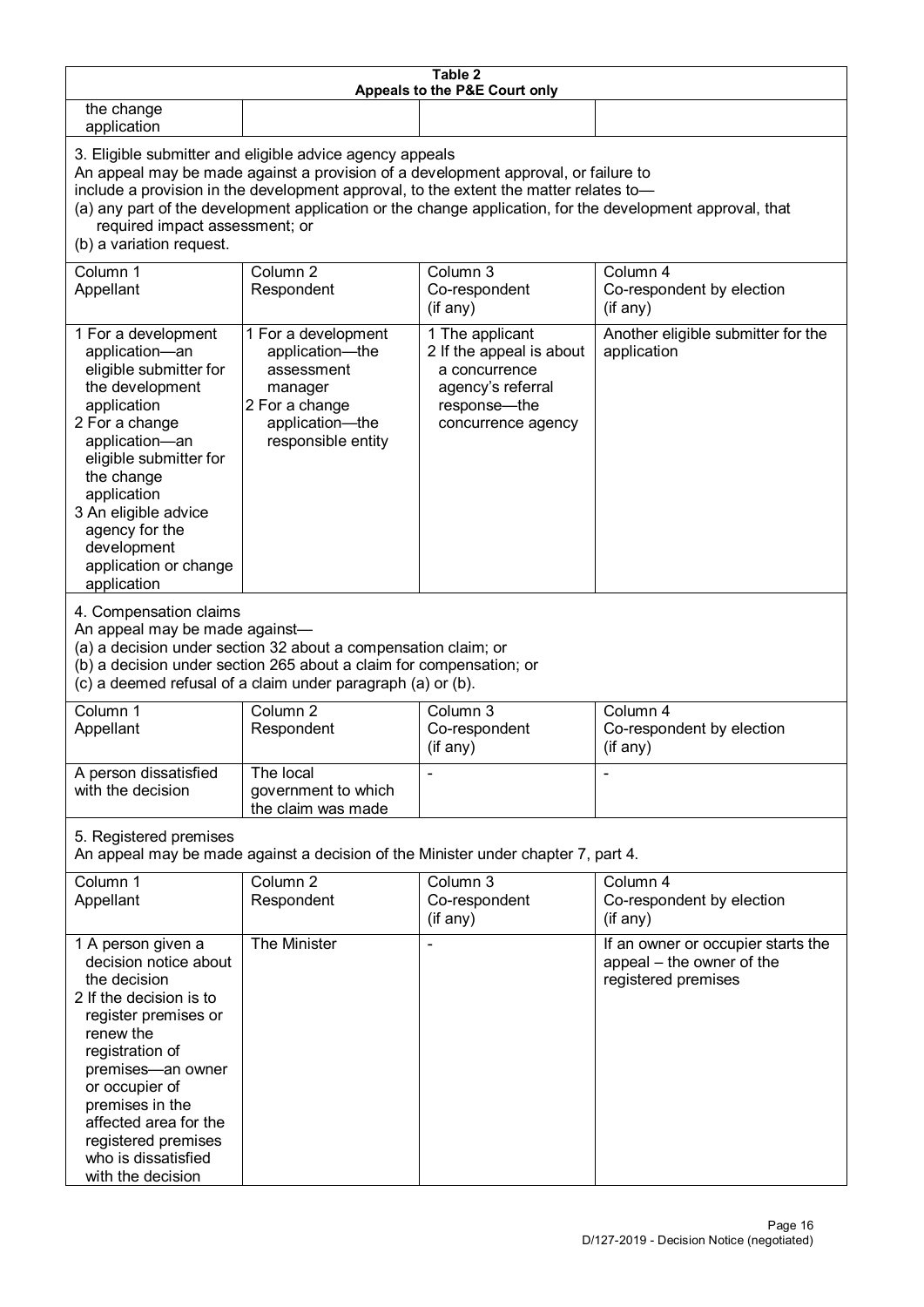| Table 2<br>Appeals to the P&E Court only                                                                                                                                                                                                                                                                                                                                                                           |                                                                                                                            |                                                                                                                           |                                                                                        |  |
|--------------------------------------------------------------------------------------------------------------------------------------------------------------------------------------------------------------------------------------------------------------------------------------------------------------------------------------------------------------------------------------------------------------------|----------------------------------------------------------------------------------------------------------------------------|---------------------------------------------------------------------------------------------------------------------------|----------------------------------------------------------------------------------------|--|
| the change<br>application                                                                                                                                                                                                                                                                                                                                                                                          |                                                                                                                            |                                                                                                                           |                                                                                        |  |
| 3. Eligible submitter and eligible advice agency appeals<br>An appeal may be made against a provision of a development approval, or failure to<br>include a provision in the development approval, to the extent the matter relates to-<br>(a) any part of the development application or the change application, for the development approval, that<br>required impact assessment; or<br>(b) a variation request. |                                                                                                                            |                                                                                                                           |                                                                                        |  |
| Column 1<br>Appellant                                                                                                                                                                                                                                                                                                                                                                                              | Column <sub>2</sub><br>Respondent                                                                                          | Column 3<br>Co-respondent<br>(if any)                                                                                     | Column 4<br>Co-respondent by election<br>(if any)                                      |  |
| 1 For a development<br>application-an<br>eligible submitter for<br>the development<br>application<br>2 For a change<br>application-an<br>eligible submitter for<br>the change<br>application<br>3 An eligible advice<br>agency for the<br>development<br>application or change<br>application                                                                                                                      | 1 For a development<br>application-the<br>assessment<br>manager<br>2 For a change<br>application-the<br>responsible entity | 1 The applicant<br>2 If the appeal is about<br>a concurrence<br>agency's referral<br>response---the<br>concurrence agency | Another eligible submitter for the<br>application                                      |  |
| 4. Compensation claims<br>An appeal may be made against-<br>(a) a decision under section 32 about a compensation claim; or<br>(b) a decision under section 265 about a claim for compensation; or<br>(c) a deemed refusal of a claim under paragraph (a) or (b).                                                                                                                                                   |                                                                                                                            |                                                                                                                           |                                                                                        |  |
| Column 1<br>Appellant                                                                                                                                                                                                                                                                                                                                                                                              | Column <sub>2</sub><br>Respondent                                                                                          | Column 3<br>Co-respondent<br>(if any)                                                                                     | Column 4<br>Co-respondent by election<br>(if any)                                      |  |
| A person dissatisfied<br>with the decision                                                                                                                                                                                                                                                                                                                                                                         | The local<br>government to which<br>the claim was made                                                                     |                                                                                                                           |                                                                                        |  |
| 5. Registered premises<br>An appeal may be made against a decision of the Minister under chapter 7, part 4.                                                                                                                                                                                                                                                                                                        |                                                                                                                            |                                                                                                                           |                                                                                        |  |
| Column 1<br>Appellant                                                                                                                                                                                                                                                                                                                                                                                              | Column <sub>2</sub><br>Respondent                                                                                          | Column 3<br>Co-respondent<br>(if any)                                                                                     | Column 4<br>Co-respondent by election<br>$($ if any $)$                                |  |
| 1 A person given a<br>decision notice about<br>the decision<br>2 If the decision is to<br>register premises or<br>renew the<br>registration of<br>premises-an owner<br>or occupier of<br>premises in the<br>affected area for the<br>registered premises<br>who is dissatisfied<br>with the decision                                                                                                               | The Minister                                                                                                               |                                                                                                                           | If an owner or occupier starts the<br>appeal - the owner of the<br>registered premises |  |